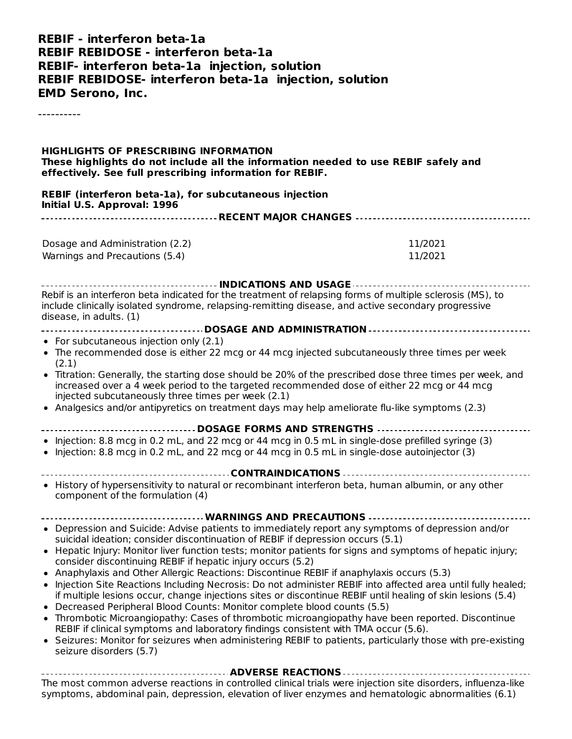#### **REBIF - interferon beta-1a REBIF REBIDOSE - interferon beta-1a REBIF- interferon beta-1a injection, solution REBIF REBIDOSE- interferon beta-1a injection, solution EMD Serono, Inc.**

----------

#### **HIGHLIGHTS OF PRESCRIBING INFORMATION These highlights do not include all the information needed to use REBIF safely and effectively. See full prescribing information for REBIF.**

**REBIF (interferon beta-1a), for subcutaneous injection Initial U.S. Approval: 1996 RECENT MAJOR CHANGES**

| Dosage and Administration (2.2) | 11/2021 |  |  |  |
|---------------------------------|---------|--|--|--|
| Warnings and Precautions (5.4)  | 11/2021 |  |  |  |

**INDICATIONS AND USAGE** Rebif is an interferon beta indicated for the treatment of relapsing forms of multiple sclerosis (MS), to include clinically isolated syndrome, relapsing-remitting disease, and active secondary progressive disease, in adults. (1)

- **DOSAGE AND ADMINISTRATION**
- For subcutaneous injection only (2.1)
- The recommended dose is either 22 mcg or 44 mcg injected subcutaneously three times per week (2.1)
- Titration: Generally, the starting dose should be 20% of the prescribed dose three times per week, and increased over a 4 week period to the targeted recommended dose of either 22 mcg or 44 mcg injected subcutaneously three times per week (2.1)

. . . . . . . . . . .

Analgesics and/or antipyretics on treatment days may help ameliorate flu-like symptoms (2.3)

#### **DOSAGE FORMS AND STRENGTHS**

- $\bullet$  Injection: 8.8 mcg in 0.2 mL, and 22 mcg or 44 mcg in 0.5 mL in single-dose prefilled syringe (3)
- $\bullet$  Injection: 8.8 mcg in 0.2 mL, and 22 mcg or 44 mcg in 0.5 mL in single-dose autoinjector (3)
- **CONTRAINDICATIONS** • History of hypersensitivity to natural or recombinant interferon beta, human albumin, or any other
- component of the formulation (4)
- **WARNINGS AND PRECAUTIONS** Depression and Suicide: Advise patients to immediately report any symptoms of depression and/or suicidal ideation; consider discontinuation of REBIF if depression occurs (5.1)
- Hepatic Injury: Monitor liver function tests; monitor patients for signs and symptoms of hepatic injury; consider discontinuing REBIF if hepatic injury occurs (5.2)
- Anaphylaxis and Other Allergic Reactions: Discontinue REBIF if anaphylaxis occurs (5.3)
- Injection Site Reactions Including Necrosis: Do not administer REBIF into affected area until fully healed: if multiple lesions occur, change injections sites or discontinue REBIF until healing of skin lesions (5.4)
- Decreased Peripheral Blood Counts: Monitor complete blood counts (5.5)
- Thrombotic Microangiopathy: Cases of thrombotic microangiopathy have been reported. Discontinue REBIF if clinical symptoms and laboratory findings consistent with TMA occur (5.6).
- Seizures: Monitor for seizures when administering REBIF to patients, particularly those with pre-existing  $\bullet$ seizure disorders (5.7)

**ADVERSE REACTIONS** The most common adverse reactions in controlled clinical trials were injection site disorders, influenza-like symptoms, abdominal pain, depression, elevation of liver enzymes and hematologic abnormalities (6.1)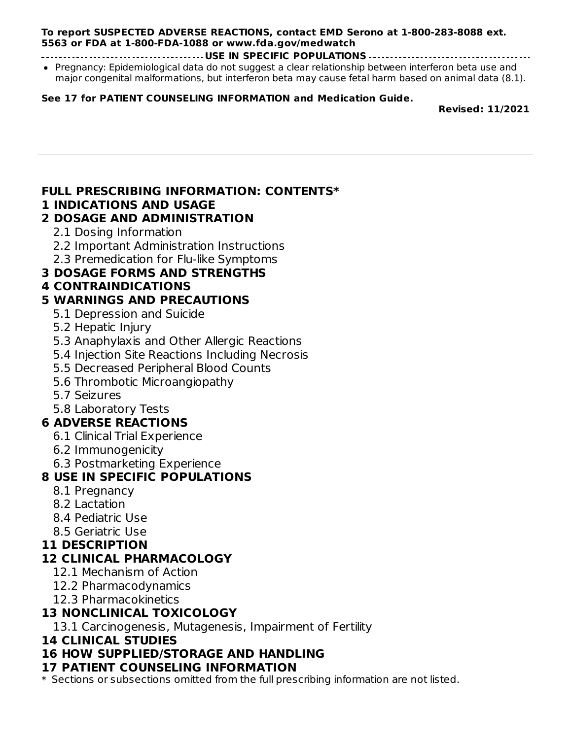#### **To report SUSPECTED ADVERSE REACTIONS, contact EMD Serono at 1-800-283-8088 ext. 5563 or FDA at 1-800-FDA-1088 or www.fda.gov/medwatch**

**USE IN SPECIFIC POPULATIONS**

• Pregnancy: Epidemiological data do not suggest a clear relationship between interferon beta use and major congenital malformations, but interferon beta may cause fetal harm based on animal data (8.1).

#### **See 17 for PATIENT COUNSELING INFORMATION and Medication Guide.**

**Revised: 11/2021**

### **FULL PRESCRIBING INFORMATION: CONTENTS\***

#### **1 INDICATIONS AND USAGE**

### **2 DOSAGE AND ADMINISTRATION**

- 2.1 Dosing Information
- 2.2 Important Administration Instructions
- 2.3 Premedication for Flu-like Symptoms

## **3 DOSAGE FORMS AND STRENGTHS**

## **4 CONTRAINDICATIONS**

## **5 WARNINGS AND PRECAUTIONS**

- 5.1 Depression and Suicide
- 5.2 Hepatic Injury
- 5.3 Anaphylaxis and Other Allergic Reactions
- 5.4 Injection Site Reactions Including Necrosis
- 5.5 Decreased Peripheral Blood Counts
- 5.6 Thrombotic Microangiopathy
- 5.7 Seizures
- 5.8 Laboratory Tests

## **6 ADVERSE REACTIONS**

- 6.1 Clinical Trial Experience
- 6.2 Immunogenicity
- 6.3 Postmarketing Experience

## **8 USE IN SPECIFIC POPULATIONS**

- 8.1 Pregnancy
- 8.2 Lactation
- 8.4 Pediatric Use
- 8.5 Geriatric Use

## **11 DESCRIPTION**

## **12 CLINICAL PHARMACOLOGY**

- 12.1 Mechanism of Action
- 12.2 Pharmacodynamics
- 12.3 Pharmacokinetics

## **13 NONCLINICAL TOXICOLOGY**

13.1 Carcinogenesis, Mutagenesis, Impairment of Fertility

#### **14 CLINICAL STUDIES**

## **16 HOW SUPPLIED/STORAGE AND HANDLING**

## **17 PATIENT COUNSELING INFORMATION**

\* Sections or subsections omitted from the full prescribing information are not listed.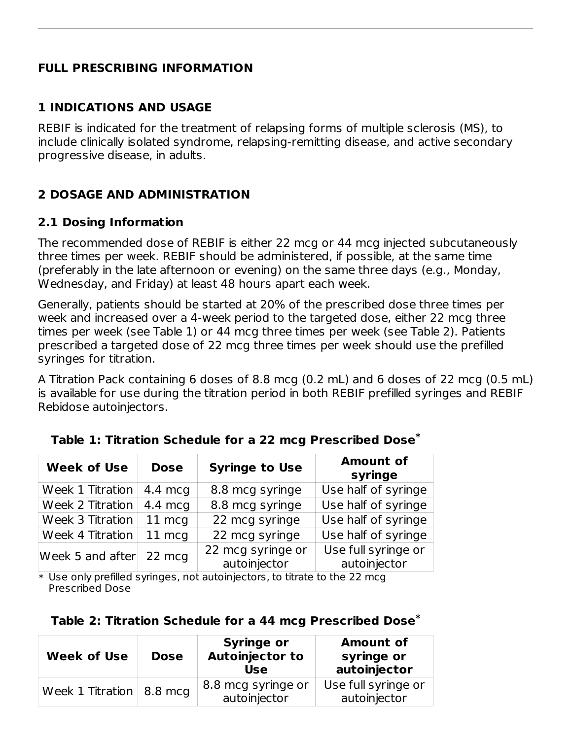### **FULL PRESCRIBING INFORMATION**

### **1 INDICATIONS AND USAGE**

REBIF is indicated for the treatment of relapsing forms of multiple sclerosis (MS), to include clinically isolated syndrome, relapsing-remitting disease, and active secondary progressive disease, in adults.

## **2 DOSAGE AND ADMINISTRATION**

#### **2.1 Dosing Information**

The recommended dose of REBIF is either 22 mcg or 44 mcg injected subcutaneously three times per week. REBIF should be administered, if possible, at the same time (preferably in the late afternoon or evening) on the same three days (e.g., Monday, Wednesday, and Friday) at least 48 hours apart each week.

Generally, patients should be started at 20% of the prescribed dose three times per week and increased over a 4-week period to the targeted dose, either 22 mcg three times per week (see Table 1) or 44 mcg three times per week (see Table 2). Patients prescribed a targeted dose of 22 mcg three times per week should use the prefilled syringes for titration.

A Titration Pack containing 6 doses of 8.8 mcg (0.2 mL) and 6 doses of 22 mcg (0.5 mL) is available for use during the titration period in both REBIF prefilled syringes and REBIF Rebidose autoinjectors.

| <b>Week of Use</b>                | <b>Dose</b>       | <b>Syringe to Use</b>             | <b>Amount of</b><br>syringe         |
|-----------------------------------|-------------------|-----------------------------------|-------------------------------------|
| Week 1 Titration                  | $4.4 \text{ mcq}$ | 8.8 mcg syringe                   | Use half of syringe                 |
| Week 2 Titration                  | $4.4 \text{ mca}$ | 8.8 mcg syringe                   | Use half of syringe                 |
| Week 3 Titration                  | 11 mcg            | 22 mcg syringe                    | Use half of syringe                 |
| Week 4 Titration                  | 11 mcg            | 22 mcg syringe                    | Use half of syringe                 |
| Week 5 and after $22 \text{ mcg}$ |                   | 22 mcg syringe or<br>autoinjector | Use full syringe or<br>autoinjector |

|  |  |  | Table 1: Titration Schedule for a 22 mcg Prescribed Dose $^{\ast}$ |  |
|--|--|--|--------------------------------------------------------------------|--|
|  |  |  |                                                                    |  |

\* Use only prefilled syringes, not autoinjectors, to titrate to the 22 mcg Prescribed Dose

#### **Table 2: Titration Schedule for a 44 mcg Prescribed Dose \***

| <b>Week of Use</b>         | <b>Dose</b> | <b>Syringe or</b><br><b>Autoinjector to</b><br>Use | <b>Amount of</b><br>syringe or<br>autoinjector |
|----------------------------|-------------|----------------------------------------------------|------------------------------------------------|
| Week 1 Titration   8.8 mcg |             | 8.8 mcg syringe or<br>autoinjector                 | Use full syringe or<br>autoinjector            |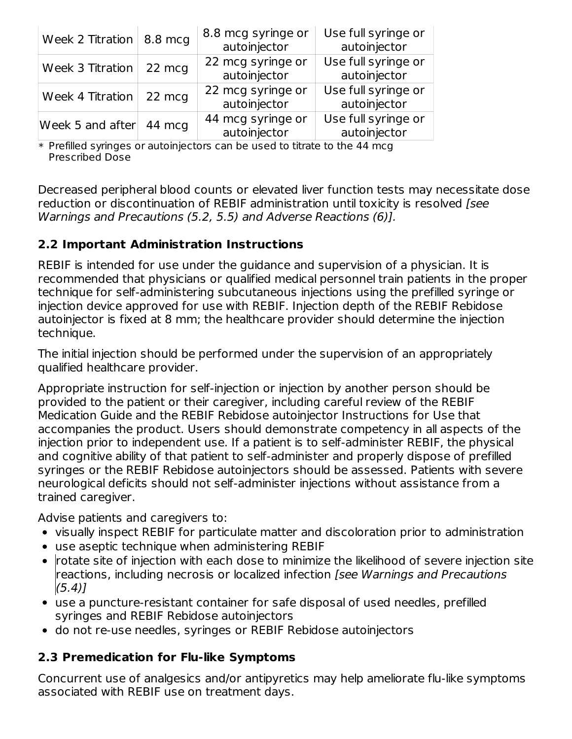| Week 2 Titration $  8.8$ mcg |        | 8.8 mcg syringe or<br>autoinjector | Use full syringe or<br>autoinjector |
|------------------------------|--------|------------------------------------|-------------------------------------|
| Week $3$ Titration $ $       | 22 mcg | 22 mcg syringe or<br>autoinjector  | Use full syringe or<br>autoinjector |
| Week 4 Titration             | 22 mcg | 22 mcg syringe or<br>autoinjector  | Use full syringe or<br>autoinjector |
| Week 5 and after             | 44 mcg | 44 mcg syringe or<br>autoinjector  | Use full syringe or<br>autoinjector |

\* Prefilled syringes or autoinjectors can be used to titrate to the 44 mcg Prescribed Dose

Decreased peripheral blood counts or elevated liver function tests may necessitate dose reduction or discontinuation of REBIF administration until toxicity is resolved [see Warnings and Precautions (5.2, 5.5) and Adverse Reactions (6)].

## **2.2 Important Administration Instructions**

REBIF is intended for use under the guidance and supervision of a physician. It is recommended that physicians or qualified medical personnel train patients in the proper technique for self-administering subcutaneous injections using the prefilled syringe or injection device approved for use with REBIF. Injection depth of the REBIF Rebidose autoinjector is fixed at 8 mm; the healthcare provider should determine the injection technique.

The initial injection should be performed under the supervision of an appropriately qualified healthcare provider.

Appropriate instruction for self-injection or injection by another person should be provided to the patient or their caregiver, including careful review of the REBIF Medication Guide and the REBIF Rebidose autoinjector Instructions for Use that accompanies the product. Users should demonstrate competency in all aspects of the injection prior to independent use. If a patient is to self-administer REBIF, the physical and cognitive ability of that patient to self-administer and properly dispose of prefilled syringes or the REBIF Rebidose autoinjectors should be assessed. Patients with severe neurological deficits should not self-administer injections without assistance from a trained caregiver.

Advise patients and caregivers to:

- visually inspect REBIF for particulate matter and discoloration prior to administration
- use aseptic technique when administering REBIF
- $\bullet$   $\,$  rotate site of injection with each dose to minimize the likelihood of severe injection site reactions, including necrosis or localized infection [see Warnings and Precautions  $(5.4)$ ]
- use a puncture-resistant container for safe disposal of used needles, prefilled syringes and REBIF Rebidose autoinjectors
- do not re-use needles, syringes or REBIF Rebidose autoinjectors

## **2.3 Premedication for Flu-like Symptoms**

Concurrent use of analgesics and/or antipyretics may help ameliorate flu-like symptoms associated with REBIF use on treatment days.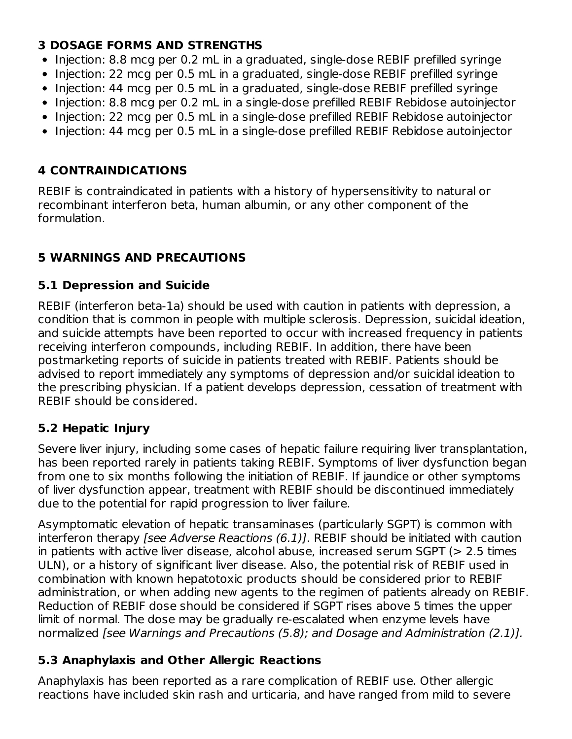## **3 DOSAGE FORMS AND STRENGTHS**

- Injection: 8.8 mcg per 0.2 mL in a graduated, single-dose REBIF prefilled syringe
- Injection: 22 mcg per 0.5 mL in a graduated, single-dose REBIF prefilled syringe
- Injection: 44 mcg per 0.5 mL in a graduated, single-dose REBIF prefilled syringe
- Injection: 8.8 mcg per 0.2 mL in a single-dose prefilled REBIF Rebidose autoinjector
- Injection: 22 mcg per 0.5 mL in a single-dose prefilled REBIF Rebidose autoinjector
- Injection: 44 mcg per 0.5 mL in a single-dose prefilled REBIF Rebidose autoinjector

## **4 CONTRAINDICATIONS**

REBIF is contraindicated in patients with a history of hypersensitivity to natural or recombinant interferon beta, human albumin, or any other component of the formulation.

# **5 WARNINGS AND PRECAUTIONS**

## **5.1 Depression and Suicide**

REBIF (interferon beta-1a) should be used with caution in patients with depression, a condition that is common in people with multiple sclerosis. Depression, suicidal ideation, and suicide attempts have been reported to occur with increased frequency in patients receiving interferon compounds, including REBIF. In addition, there have been postmarketing reports of suicide in patients treated with REBIF. Patients should be advised to report immediately any symptoms of depression and/or suicidal ideation to the prescribing physician. If a patient develops depression, cessation of treatment with REBIF should be considered.

## **5.2 Hepatic Injury**

Severe liver injury, including some cases of hepatic failure requiring liver transplantation, has been reported rarely in patients taking REBIF. Symptoms of liver dysfunction began from one to six months following the initiation of REBIF. If jaundice or other symptoms of liver dysfunction appear, treatment with REBIF should be discontinued immediately due to the potential for rapid progression to liver failure.

Asymptomatic elevation of hepatic transaminases (particularly SGPT) is common with interferon therapy [see Adverse Reactions (6.1)]. REBIF should be initiated with caution in patients with active liver disease, alcohol abuse, increased serum SGPT (> 2.5 times ULN), or a history of significant liver disease. Also, the potential risk of REBIF used in combination with known hepatotoxic products should be considered prior to REBIF administration, or when adding new agents to the regimen of patients already on REBIF. Reduction of REBIF dose should be considered if SGPT rises above 5 times the upper limit of normal. The dose may be gradually re-escalated when enzyme levels have normalized [see Warnings and Precautions (5.8); and Dosage and Administration (2.1)].

## **5.3 Anaphylaxis and Other Allergic Reactions**

Anaphylaxis has been reported as a rare complication of REBIF use. Other allergic reactions have included skin rash and urticaria, and have ranged from mild to severe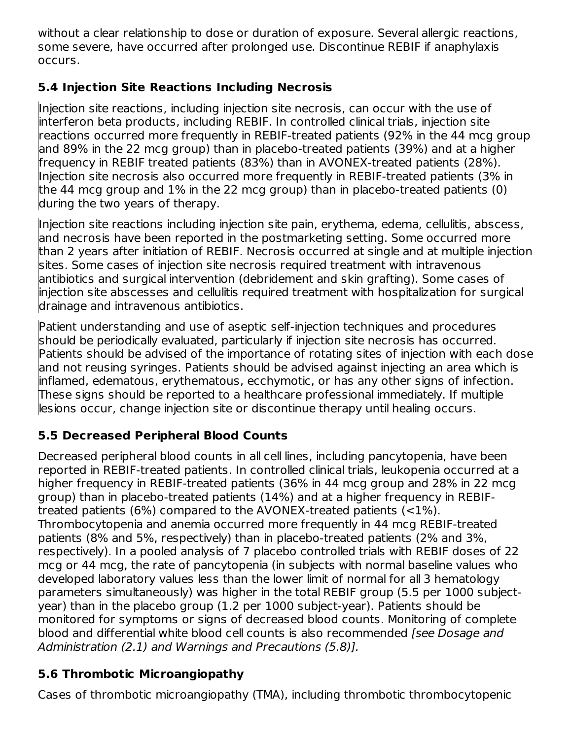without a clear relationship to dose or duration of exposure. Several allergic reactions, some severe, have occurred after prolonged use. Discontinue REBIF if anaphylaxis occurs.

## **5.4 Injection Site Reactions Including Necrosis**

Injection site reactions, including injection site necrosis, can occur with the use of interferon beta products, including REBIF. In controlled clinical trials, injection site reactions occurred more frequently in REBIF-treated patients (92% in the 44 mcg group and 89% in the 22 mcg group) than in placebo-treated patients (39%) and at a higher frequency in REBIF treated patients (83%) than in AVONEX-treated patients (28%). Injection site necrosis also occurred more frequently in REBIF-treated patients (3% in the 44 mcg group and 1% in the 22 mcg group) than in placebo-treated patients (0) during the two years of therapy.

Injection site reactions including injection site pain, erythema, edema, cellulitis, abscess, and necrosis have been reported in the postmarketing setting. Some occurred more than 2 years after initiation of REBIF. Necrosis occurred at single and at multiple injection sites. Some cases of injection site necrosis required treatment with intravenous antibiotics and surgical intervention (debridement and skin grafting). Some cases of injection site abscesses and cellulitis required treatment with hospitalization for surgical drainage and intravenous antibiotics.

Patient understanding and use of aseptic self-injection techniques and procedures should be periodically evaluated, particularly if injection site necrosis has occurred. Patients should be advised of the importance of rotating sites of injection with each dose and not reusing syringes. Patients should be advised against injecting an area which is inflamed, edematous, erythematous, ecchymotic, or has any other signs of infection. These signs should be reported to a healthcare professional immediately. If multiple lesions occur, change injection site or discontinue therapy until healing occurs.

# **5.5 Decreased Peripheral Blood Counts**

Decreased peripheral blood counts in all cell lines, including pancytopenia, have been reported in REBIF-treated patients. In controlled clinical trials, leukopenia occurred at a higher frequency in REBIF-treated patients (36% in 44 mcg group and 28% in 22 mcg group) than in placebo-treated patients (14%) and at a higher frequency in REBIFtreated patients (6%) compared to the AVONEX-treated patients (<1%). Thrombocytopenia and anemia occurred more frequently in 44 mcg REBIF-treated patients (8% and 5%, respectively) than in placebo-treated patients (2% and 3%, respectively). In a pooled analysis of 7 placebo controlled trials with REBIF doses of 22 mcg or 44 mcg, the rate of pancytopenia (in subjects with normal baseline values who developed laboratory values less than the lower limit of normal for all 3 hematology parameters simultaneously) was higher in the total REBIF group (5.5 per 1000 subjectyear) than in the placebo group (1.2 per 1000 subject-year). Patients should be monitored for symptoms or signs of decreased blood counts. Monitoring of complete blood and differential white blood cell counts is also recommended [see Dosage and Administration (2.1) and Warnings and Precautions (5.8)].

# **5.6 Thrombotic Microangiopathy**

Cases of thrombotic microangiopathy (TMA), including thrombotic thrombocytopenic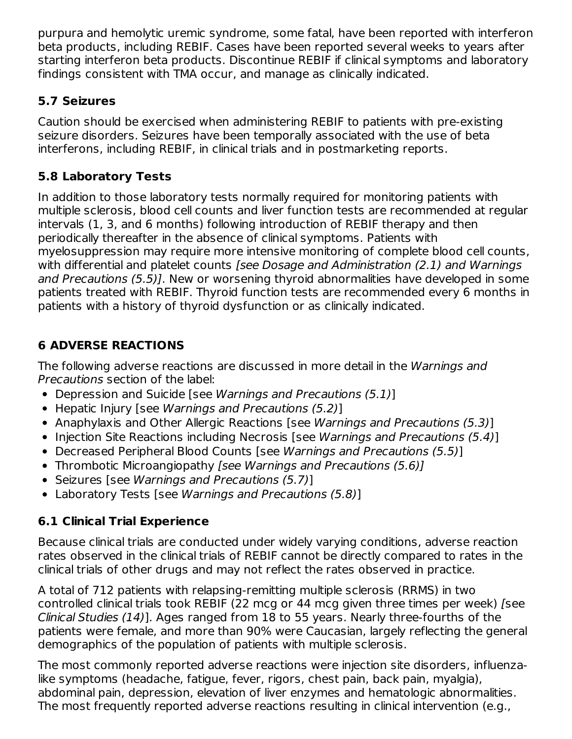purpura and hemolytic uremic syndrome, some fatal, have been reported with interferon beta products, including REBIF. Cases have been reported several weeks to years after starting interferon beta products. Discontinue REBIF if clinical symptoms and laboratory findings consistent with TMA occur, and manage as clinically indicated.

## **5.7 Seizures**

Caution should be exercised when administering REBIF to patients with pre-existing seizure disorders. Seizures have been temporally associated with the use of beta interferons, including REBIF, in clinical trials and in postmarketing reports.

## **5.8 Laboratory Tests**

In addition to those laboratory tests normally required for monitoring patients with multiple sclerosis, blood cell counts and liver function tests are recommended at regular intervals (1, 3, and 6 months) following introduction of REBIF therapy and then periodically thereafter in the absence of clinical symptoms. Patients with myelosuppression may require more intensive monitoring of complete blood cell counts, with differential and platelet counts [see Dosage and Administration (2.1) and Warnings and Precautions (5.5)]. New or worsening thyroid abnormalities have developed in some patients treated with REBIF. Thyroid function tests are recommended every 6 months in patients with a history of thyroid dysfunction or as clinically indicated.

# **6 ADVERSE REACTIONS**

The following adverse reactions are discussed in more detail in the Warnings and Precautions section of the label:

- Depression and Suicide [see Warnings and Precautions (5.1)]
- Hepatic Injury [see Warnings and Precautions (5.2)]
- Anaphylaxis and Other Allergic Reactions [see Warnings and Precautions (5.3)]
- Injection Site Reactions including Necrosis [see Warnings and Precautions  $(5.4)$ ]
- Decreased Peripheral Blood Counts [see Warnings and Precautions (5.5)]
- Thrombotic Microangiopathy [see Warnings and Precautions (5.6)]
- Seizures [see Warnings and Precautions (5.7)]
- Laboratory Tests [see Warnings and Precautions (5.8)]

## **6.1 Clinical Trial Experience**

Because clinical trials are conducted under widely varying conditions, adverse reaction rates observed in the clinical trials of REBIF cannot be directly compared to rates in the clinical trials of other drugs and may not reflect the rates observed in practice.

A total of 712 patients with relapsing-remitting multiple sclerosis (RRMS) in two controlled clinical trials took REBIF (22 mcg or 44 mcg given three times per week) [see Clinical Studies (14)]. Ages ranged from 18 to 55 years. Nearly three-fourths of the patients were female, and more than 90% were Caucasian, largely reflecting the general demographics of the population of patients with multiple sclerosis.

The most commonly reported adverse reactions were injection site disorders, influenzalike symptoms (headache, fatigue, fever, rigors, chest pain, back pain, myalgia), abdominal pain, depression, elevation of liver enzymes and hematologic abnormalities. The most frequently reported adverse reactions resulting in clinical intervention (e.g.,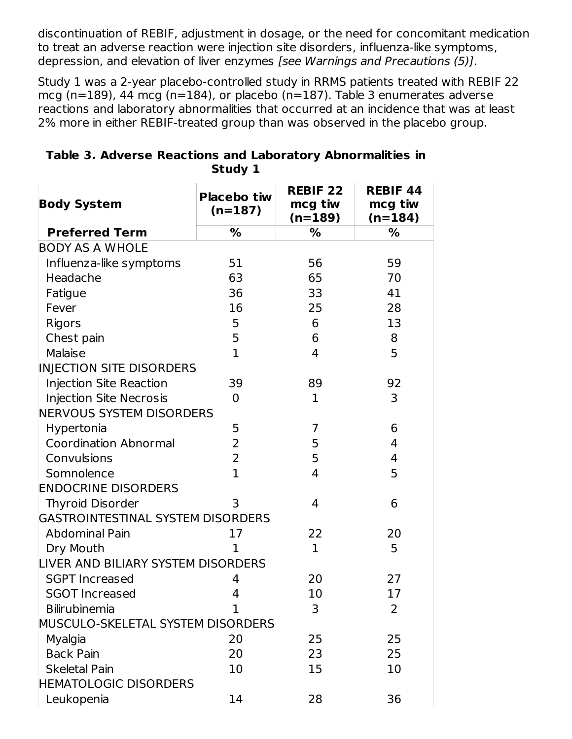discontinuation of REBIF, adjustment in dosage, or the need for concomitant medication to treat an adverse reaction were injection site disorders, influenza-like symptoms, depression, and elevation of liver enzymes [see Warnings and Precautions (5)].

Study 1 was a 2-year placebo-controlled study in RRMS patients treated with REBIF 22 mcg (n=189), 44 mcg (n=184), or placebo (n=187). Table 3 enumerates adverse reactions and laboratory abnormalities that occurred at an incidence that was at least 2% more in either REBIF-treated group than was observed in the placebo group.

| <b>Body System</b>                       | <b>Placebo tiw</b><br>$(n=187)$ | <b>REBIF 22</b><br>mcg tiw<br>$(n=189)$ | <b>REBIF 44</b><br>mcg tiw<br>$(n=184)$ |
|------------------------------------------|---------------------------------|-----------------------------------------|-----------------------------------------|
| <b>Preferred Term</b>                    | %                               | %                                       | ℅                                       |
| <b>BODY AS A WHOLE</b>                   |                                 |                                         |                                         |
| Influenza-like symptoms                  | 51                              | 56                                      | 59                                      |
| Headache                                 | 63                              | 65                                      | 70                                      |
| Fatigue                                  | 36                              | 33                                      | 41                                      |
| Fever                                    | 16                              | 25                                      | 28                                      |
| <b>Rigors</b>                            | 5                               | 6                                       | 13                                      |
| Chest pain                               | 5                               | 6                                       | 8                                       |
| Malaise                                  | $\mathbf{1}$                    | 4                                       | 5                                       |
| INJECTION SITE DISORDERS                 |                                 |                                         |                                         |
| <b>Injection Site Reaction</b>           | 39                              | 89                                      | 92                                      |
| <b>Injection Site Necrosis</b>           | 0                               | $\mathbf{1}$                            | 3                                       |
| <b>NERVOUS SYSTEM DISORDERS</b>          |                                 |                                         |                                         |
| Hypertonia                               | 5                               | 7                                       | 6                                       |
| <b>Coordination Abnormal</b>             | $\overline{2}$                  | 5                                       | 4                                       |
| Convulsions                              | 2                               | 5                                       | 4                                       |
| Somnolence                               | $\mathbf{1}$                    | 4                                       | 5                                       |
| <b>ENDOCRINE DISORDERS</b>               |                                 |                                         |                                         |
| <b>Thyroid Disorder</b>                  | 3                               | 4                                       | 6                                       |
| <b>GASTROINTESTINAL SYSTEM DISORDERS</b> |                                 |                                         |                                         |
| <b>Abdominal Pain</b>                    | 17                              | 22                                      | 20                                      |
| Dry Mouth                                | $\mathbf 1$                     | $\mathbf{1}$                            | 5                                       |
| LIVER AND BILIARY SYSTEM DISORDERS       |                                 |                                         |                                         |
| <b>SGPT Increased</b>                    | 4                               | 20                                      | 27                                      |
| <b>SGOT Increased</b>                    | 4                               | 10                                      | 17                                      |
| <b>Bilirubinemia</b>                     | 1                               | 3                                       | 2                                       |
| MUSCULO-SKELETAL SYSTEM DISORDERS        |                                 |                                         |                                         |
| Myalgia                                  | 20                              | 25                                      | 25                                      |
| <b>Back Pain</b>                         | 20                              | 23                                      | 25                                      |
| <b>Skeletal Pain</b>                     | 10                              | 15                                      | 10                                      |
| <b>HEMATOLOGIC DISORDERS</b>             |                                 |                                         |                                         |
| Leukopenia                               | 14                              | 28                                      | 36                                      |

| Table 3. Adverse Reactions and Laboratory Abnormalities in |         |  |  |
|------------------------------------------------------------|---------|--|--|
|                                                            | Study 1 |  |  |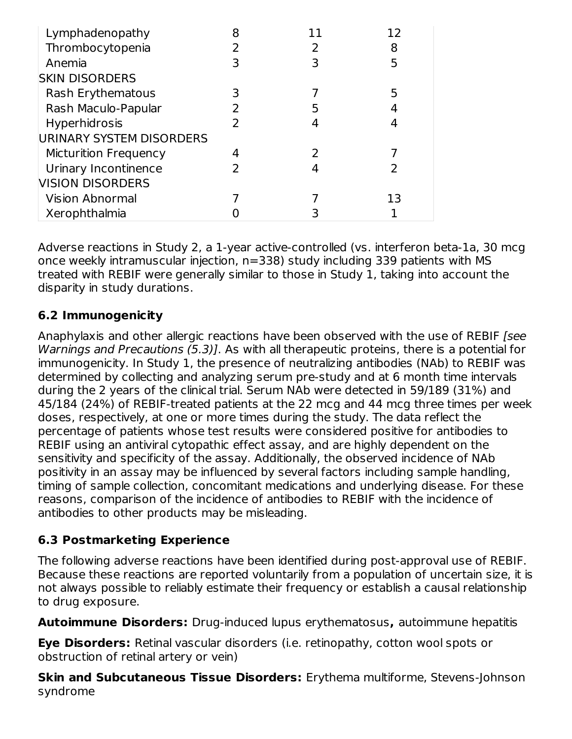| Lymphadenopathy              | 8 | 11 | 12 |
|------------------------------|---|----|----|
| Thrombocytopenia             |   | フ  | 8  |
| Anemia                       |   | ξ  | 5  |
| <b>SKIN DISORDERS</b>        |   |    |    |
| Rash Erythematous            |   |    | 5  |
| Rash Maculo-Papular          |   | 5  |    |
| <b>Hyperhidrosis</b>         |   |    |    |
| URINARY SYSTEM DISORDERS     |   |    |    |
| <b>Micturition Frequency</b> |   |    |    |
| Urinary Incontinence         |   |    |    |
| <b>VISION DISORDERS</b>      |   |    |    |
| <b>Vision Abnormal</b>       |   |    | 13 |
| Xerophthalmia                |   |    |    |

Adverse reactions in Study 2, a 1-year active-controlled (vs. interferon beta-1a, 30 mcg once weekly intramuscular injection, n=338) study including 339 patients with MS treated with REBIF were generally similar to those in Study 1, taking into account the disparity in study durations.

## **6.2 Immunogenicity**

Anaphylaxis and other allergic reactions have been observed with the use of REBIF [see Warnings and Precautions (5.3)]. As with all therapeutic proteins, there is a potential for immunogenicity. In Study 1, the presence of neutralizing antibodies (NAb) to REBIF was determined by collecting and analyzing serum pre-study and at 6 month time intervals during the 2 years of the clinical trial. Serum NAb were detected in 59/189 (31%) and 45/184 (24%) of REBIF-treated patients at the 22 mcg and 44 mcg three times per week doses, respectively, at one or more times during the study. The data reflect the percentage of patients whose test results were considered positive for antibodies to REBIF using an antiviral cytopathic effect assay, and are highly dependent on the sensitivity and specificity of the assay. Additionally, the observed incidence of NAb positivity in an assay may be influenced by several factors including sample handling, timing of sample collection, concomitant medications and underlying disease. For these reasons, comparison of the incidence of antibodies to REBIF with the incidence of antibodies to other products may be misleading.

## **6.3 Postmarketing Experience**

The following adverse reactions have been identified during post-approval use of REBIF. Because these reactions are reported voluntarily from a population of uncertain size, it is not always possible to reliably estimate their frequency or establish a causal relationship to drug exposure.

**Autoimmune Disorders:** Drug-induced lupus erythematosus**,** autoimmune hepatitis

**Eye Disorders:** Retinal vascular disorders (i.e. retinopathy, cotton wool spots or obstruction of retinal artery or vein)

**Skin and Subcutaneous Tissue Disorders:** Erythema multiforme, Stevens-Johnson syndrome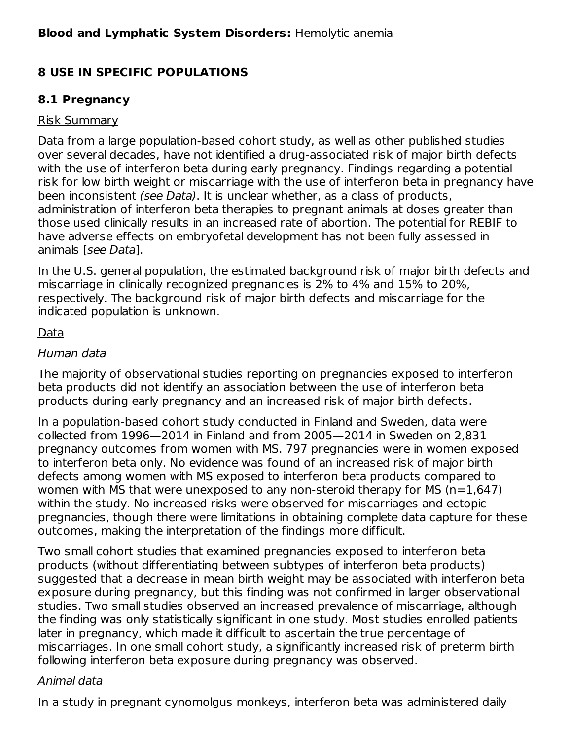## **8 USE IN SPECIFIC POPULATIONS**

## **8.1 Pregnancy**

### Risk Summary

Data from a large population-based cohort study, as well as other published studies over several decades, have not identified a drug-associated risk of major birth defects with the use of interferon beta during early pregnancy. Findings regarding a potential risk for low birth weight or miscarriage with the use of interferon beta in pregnancy have been inconsistent (see Data). It is unclear whether, as a class of products, administration of interferon beta therapies to pregnant animals at doses greater than those used clinically results in an increased rate of abortion. The potential for REBIF to have adverse effects on embryofetal development has not been fully assessed in animals [see Data].

In the U.S. general population, the estimated background risk of major birth defects and miscarriage in clinically recognized pregnancies is 2% to 4% and 15% to 20%, respectively. The background risk of major birth defects and miscarriage for the indicated population is unknown.

## Data

### Human data

The majority of observational studies reporting on pregnancies exposed to interferon beta products did not identify an association between the use of interferon beta products during early pregnancy and an increased risk of major birth defects.

In a population-based cohort study conducted in Finland and Sweden, data were collected from 1996—2014 in Finland and from 2005—2014 in Sweden on 2,831 pregnancy outcomes from women with MS. 797 pregnancies were in women exposed to interferon beta only. No evidence was found of an increased risk of major birth defects among women with MS exposed to interferon beta products compared to women with MS that were unexposed to any non-steroid therapy for MS ( $n=1,647$ ) within the study. No increased risks were observed for miscarriages and ectopic pregnancies, though there were limitations in obtaining complete data capture for these outcomes, making the interpretation of the findings more difficult.

Two small cohort studies that examined pregnancies exposed to interferon beta products (without differentiating between subtypes of interferon beta products) suggested that a decrease in mean birth weight may be associated with interferon beta exposure during pregnancy, but this finding was not confirmed in larger observational studies. Two small studies observed an increased prevalence of miscarriage, although the finding was only statistically significant in one study. Most studies enrolled patients later in pregnancy, which made it difficult to ascertain the true percentage of miscarriages. In one small cohort study, a significantly increased risk of preterm birth following interferon beta exposure during pregnancy was observed.

#### Animal data

In a study in pregnant cynomolgus monkeys, interferon beta was administered daily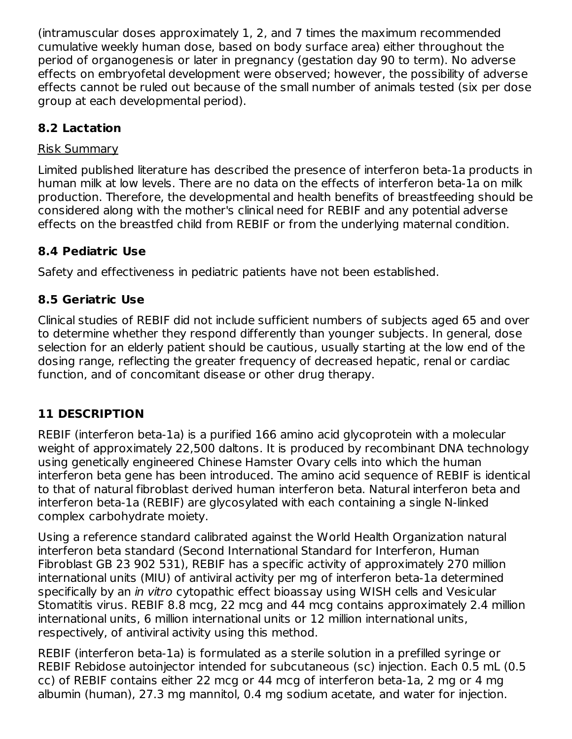(intramuscular doses approximately 1, 2, and 7 times the maximum recommended cumulative weekly human dose, based on body surface area) either throughout the period of organogenesis or later in pregnancy (gestation day 90 to term). No adverse effects on embryofetal development were observed; however, the possibility of adverse effects cannot be ruled out because of the small number of animals tested (six per dose group at each developmental period).

## **8.2 Lactation**

## Risk Summary

Limited published literature has described the presence of interferon beta-1a products in human milk at low levels. There are no data on the effects of interferon beta-1a on milk production. Therefore, the developmental and health benefits of breastfeeding should be considered along with the mother's clinical need for REBIF and any potential adverse effects on the breastfed child from REBIF or from the underlying maternal condition.

## **8.4 Pediatric Use**

Safety and effectiveness in pediatric patients have not been established.

## **8.5 Geriatric Use**

Clinical studies of REBIF did not include sufficient numbers of subjects aged 65 and over to determine whether they respond differently than younger subjects. In general, dose selection for an elderly patient should be cautious, usually starting at the low end of the dosing range, reflecting the greater frequency of decreased hepatic, renal or cardiac function, and of concomitant disease or other drug therapy.

# **11 DESCRIPTION**

REBIF (interferon beta-1a) is a purified 166 amino acid glycoprotein with a molecular weight of approximately 22,500 daltons. It is produced by recombinant DNA technology using genetically engineered Chinese Hamster Ovary cells into which the human interferon beta gene has been introduced. The amino acid sequence of REBIF is identical to that of natural fibroblast derived human interferon beta. Natural interferon beta and interferon beta-1a (REBIF) are glycosylated with each containing a single N-linked complex carbohydrate moiety.

Using a reference standard calibrated against the World Health Organization natural interferon beta standard (Second International Standard for Interferon, Human Fibroblast GB 23 902 531), REBIF has a specific activity of approximately 270 million international units (MIU) of antiviral activity per mg of interferon beta-1a determined specifically by an *in vitro* cytopathic effect bioassay using WISH cells and Vesicular Stomatitis virus. REBIF 8.8 mcg, 22 mcg and 44 mcg contains approximately 2.4 million international units, 6 million international units or 12 million international units, respectively, of antiviral activity using this method.

REBIF (interferon beta-1a) is formulated as a sterile solution in a prefilled syringe or REBIF Rebidose autoinjector intended for subcutaneous (sc) injection. Each 0.5 mL (0.5 cc) of REBIF contains either 22 mcg or 44 mcg of interferon beta-1a, 2 mg or 4 mg albumin (human), 27.3 mg mannitol, 0.4 mg sodium acetate, and water for injection.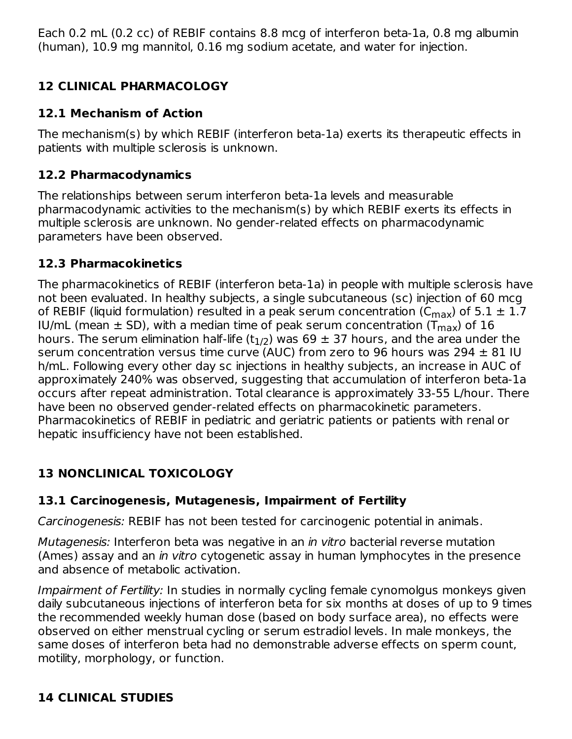Each 0.2 mL (0.2 cc) of REBIF contains 8.8 mcg of interferon beta-1a, 0.8 mg albumin (human), 10.9 mg mannitol, 0.16 mg sodium acetate, and water for injection.

# **12 CLINICAL PHARMACOLOGY**

## **12.1 Mechanism of Action**

The mechanism(s) by which REBIF (interferon beta-1a) exerts its therapeutic effects in patients with multiple sclerosis is unknown.

## **12.2 Pharmacodynamics**

The relationships between serum interferon beta-1a levels and measurable pharmacodynamic activities to the mechanism(s) by which REBIF exerts its effects in multiple sclerosis are unknown. No gender-related effects on pharmacodynamic parameters have been observed.

## **12.3 Pharmacokinetics**

The pharmacokinetics of REBIF (interferon beta-1a) in people with multiple sclerosis have not been evaluated. In healthy subjects, a single subcutaneous (sc) injection of 60 mcg of REBIF (liquid formulation) resulted in a peak serum concentration (C $_{\sf max}$ ) of 5.1  $\pm$  1.7 IU/mL (mean  $\pm$  SD), with a median time of peak serum concentration (T $_{\sf max}$ ) of 16 hours. The serum elimination half-life (t $_{\rm 1/2})$  was 69  $\pm$  37 hours, and the area under the serum concentration versus time curve (AUC) from zero to 96 hours was 294  $\pm$  81 IU h/mL. Following every other day sc injections in healthy subjects, an increase in AUC of approximately 240% was observed, suggesting that accumulation of interferon beta-1a occurs after repeat administration. Total clearance is approximately 33-55 L/hour. There have been no observed gender-related effects on pharmacokinetic parameters. Pharmacokinetics of REBIF in pediatric and geriatric patients or patients with renal or hepatic insufficiency have not been established.

# **13 NONCLINICAL TOXICOLOGY**

## **13.1 Carcinogenesis, Mutagenesis, Impairment of Fertility**

Carcinogenesis: REBIF has not been tested for carcinogenic potential in animals.

Mutagenesis: Interferon beta was negative in an in vitro bacterial reverse mutation (Ames) assay and an in vitro cytogenetic assay in human lymphocytes in the presence and absence of metabolic activation.

Impairment of Fertility: In studies in normally cycling female cynomolgus monkeys given daily subcutaneous injections of interferon beta for six months at doses of up to 9 times the recommended weekly human dose (based on body surface area), no effects were observed on either menstrual cycling or serum estradiol levels. In male monkeys, the same doses of interferon beta had no demonstrable adverse effects on sperm count, motility, morphology, or function.

## **14 CLINICAL STUDIES**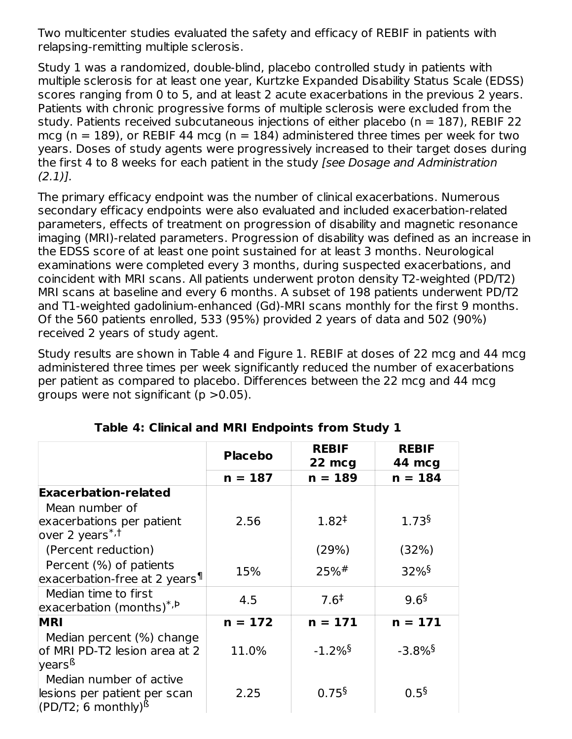Two multicenter studies evaluated the safety and efficacy of REBIF in patients with relapsing-remitting multiple sclerosis.

Study 1 was a randomized, double-blind, placebo controlled study in patients with multiple sclerosis for at least one year, Kurtzke Expanded Disability Status Scale (EDSS) scores ranging from 0 to 5, and at least 2 acute exacerbations in the previous 2 years. Patients with chronic progressive forms of multiple sclerosis were excluded from the study. Patients received subcutaneous injections of either placebo ( $n = 187$ ), REBIF 22 mcg (n = 189), or REBIF 44 mcg (n = 184) administered three times per week for two years. Doses of study agents were progressively increased to their target doses during the first 4 to 8 weeks for each patient in the study [see Dosage and Administration  $(2.1)$ ].

The primary efficacy endpoint was the number of clinical exacerbations. Numerous secondary efficacy endpoints were also evaluated and included exacerbation-related parameters, effects of treatment on progression of disability and magnetic resonance imaging (MRI)-related parameters. Progression of disability was defined as an increase in the EDSS score of at least one point sustained for at least 3 months. Neurological examinations were completed every 3 months, during suspected exacerbations, and coincident with MRI scans. All patients underwent proton density T2-weighted (PD/T2) MRI scans at baseline and every 6 months. A subset of 198 patients underwent PD/T2 and T1-weighted gadolinium-enhanced (Gd)-MRI scans monthly for the first 9 months. Of the 560 patients enrolled, 533 (95%) provided 2 years of data and 502 (90%) received 2 years of study agent.

Study results are shown in Table 4 and Figure 1. REBIF at doses of 22 mcg and 44 mcg administered three times per week significantly reduced the number of exacerbations per patient as compared to placebo. Differences between the 22 mcg and 44 mcg groups were not significant ( $p > 0.05$ ).

|                                                  | <b>Placebo</b> | <b>REBIF</b>          | <b>REBIF</b>          |
|--------------------------------------------------|----------------|-----------------------|-----------------------|
|                                                  |                | 22 mcg                | 44 mcg                |
|                                                  | $n = 187$      | $n = 189$             | $n = 184$             |
| <b>Exacerbation-related</b>                      |                |                       |                       |
| Mean number of                                   |                |                       |                       |
| exacerbations per patient                        | 2.56           | $1.82^{+}$            | 1.73 <sup>§</sup>     |
| over 2 years <sup>*,†</sup>                      |                |                       |                       |
| (Percent reduction)                              |                | (29%)                 | (32%)                 |
| Percent (%) of patients                          | 15%            | $25%$ #               | $32\%$ <sup>§</sup>   |
| exacerbation-free at 2 years <sup>¶</sup>        |                |                       |                       |
| Median time to first                             |                | $7.6^{\ddagger}$      | 9.6 <sup>§</sup>      |
| exacerbation (months) <sup>*, b</sup>            | 4.5            |                       |                       |
| <b>MRI</b>                                       | $n = 172$      | $n = 171$             | $n = 171$             |
| Median percent (%) change                        |                |                       |                       |
| of MRI PD-T2 lesion area at 2                    | 11.0%          | $-1.2\%$ <sup>§</sup> | $-3.8\%$ <sup>§</sup> |
| years <sup>ß</sup>                               |                |                       |                       |
| Median number of active                          |                |                       |                       |
| lesions per patient per scan                     | 2.25           | 0.75 <sup>5</sup>     | 0.5 <sup>5</sup>      |
| (PD/T2; 6 monthly) <sup><math>\beta</math></sup> |                |                       |                       |

**Table 4: Clinical and MRI Endpoints from Study 1**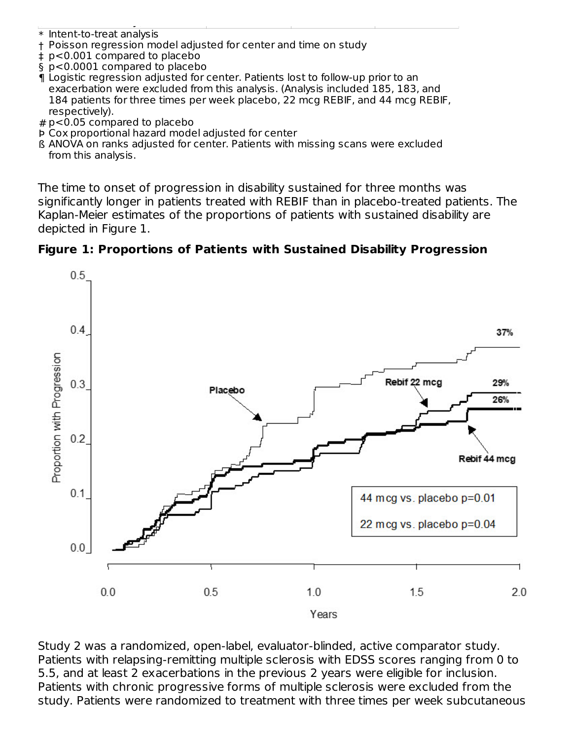\* Intent-to-treat analysis

(PD/T2; 6 monthly)

- † Poisson regression model adjusted for center and time on study
- ‡ p<0.001 compared to placebo
- § p<0.0001 compared to placebo
- ¶ Logistic regression adjusted for center. Patients lost to follow-up prior to an exacerbation were excluded from this analysis. (Analysis included 185, 183, and 184 patients for three times per week placebo, 22 mcg REBIF, and 44 mcg REBIF, respectively).
- # p<0.05 compared to placebo
- Þ Cox proportional hazard model adjusted for center
- ß ANOVA on ranks adjusted for center. Patients with missing scans were excluded from this analysis.

The time to onset of progression in disability sustained for three months was significantly longer in patients treated with REBIF than in placebo-treated patients. The Kaplan-Meier estimates of the proportions of patients with sustained disability are depicted in Figure 1.





Study 2 was a randomized, open-label, evaluator-blinded, active comparator study. Patients with relapsing-remitting multiple sclerosis with EDSS scores ranging from 0 to 5.5, and at least 2 exacerbations in the previous 2 years were eligible for inclusion. Patients with chronic progressive forms of multiple sclerosis were excluded from the study. Patients were randomized to treatment with three times per week subcutaneous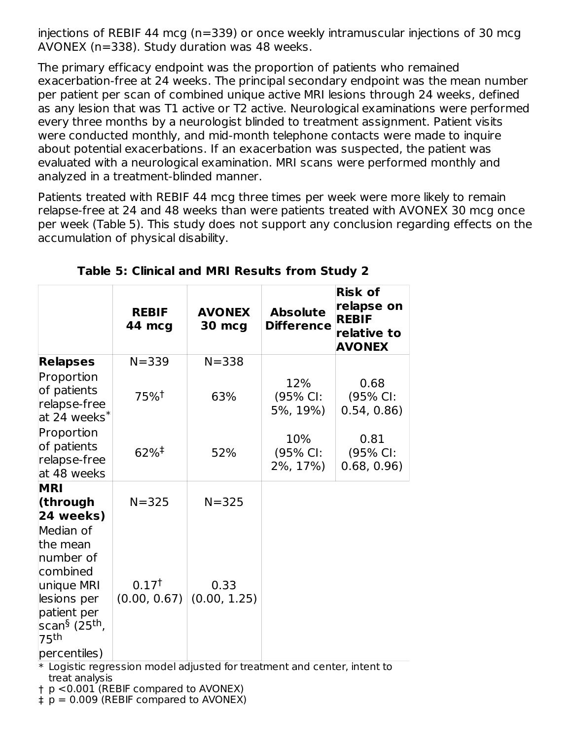injections of REBIF 44 mcg (n=339) or once weekly intramuscular injections of 30 mcg AVONEX (n=338). Study duration was 48 weeks.

The primary efficacy endpoint was the proportion of patients who remained exacerbation-free at 24 weeks. The principal secondary endpoint was the mean number per patient per scan of combined unique active MRI lesions through 24 weeks, defined as any lesion that was T1 active or T2 active. Neurological examinations were performed every three months by a neurologist blinded to treatment assignment. Patient visits were conducted monthly, and mid-month telephone contacts were made to inquire about potential exacerbations. If an exacerbation was suspected, the patient was evaluated with a neurological examination. MRI scans were performed monthly and analyzed in a treatment-blinded manner.

Patients treated with REBIF 44 mcg three times per week were more likely to remain relapse-free at 24 and 48 weeks than were patients treated with AVONEX 30 mcg once per week (Table 5). This study does not support any conclusion regarding effects on the accumulation of physical disability.

|                                                                                                                                                         | <b>REBIF</b><br>44 mcg            | <b>AVONEX</b><br><b>30 mcg</b>                                           | <b>Absolute</b><br><b>Difference</b> | <b>Risk of</b><br>relapse on<br><b>REBIF</b><br>relative to<br><b>AVONEX</b> |
|---------------------------------------------------------------------------------------------------------------------------------------------------------|-----------------------------------|--------------------------------------------------------------------------|--------------------------------------|------------------------------------------------------------------------------|
| <b>Relapses</b>                                                                                                                                         | $N = 339$                         | $N = 338$                                                                |                                      |                                                                              |
| Proportion<br>of patients<br>relapse-free<br>at 24 weeks <sup>*</sup>                                                                                   | 75% <sup>†</sup>                  | 63%                                                                      | 12%<br>(95% CI:<br>5%, 19%)          | 0.68<br>(95% CI:<br>0.54, 0.86                                               |
| Proportion<br>of patients<br>relapse-free<br>at 48 weeks                                                                                                | $62\%$ <sup>‡</sup>               | 52%                                                                      | 10%<br>(95% CI:<br>2%, 17%)          | 0.81<br>(95% CI:<br>0.68, 0.96                                               |
| <b>MRI</b><br>(through<br>24 weeks)                                                                                                                     | $N = 325$                         | $N = 325$                                                                |                                      |                                                                              |
| Median of<br>the mean<br>number of<br>combined<br>unique MRI<br>lesions per<br>patient per<br>scan <sup>§</sup> (25 <sup>th</sup> ,<br>75 <sup>th</sup> | 0.17 <sup>†</sup><br>(0.00, 0.67) | 0.33<br>(0.00, 1.25)                                                     |                                      |                                                                              |
| percentiles)                                                                                                                                            |                                   | $*$ Logistic regression model adjusted fertreatment and senter intent to |                                      |                                                                              |

**Table 5: Clinical and MRI Results from Study 2**

 $\ast$  Logistic regression model adjusted for treatment and center, intent to treat analysis

† p <0.001 (REBIF compared to AVONEX)

‡ p = 0.009 (REBIF compared to AVONEX)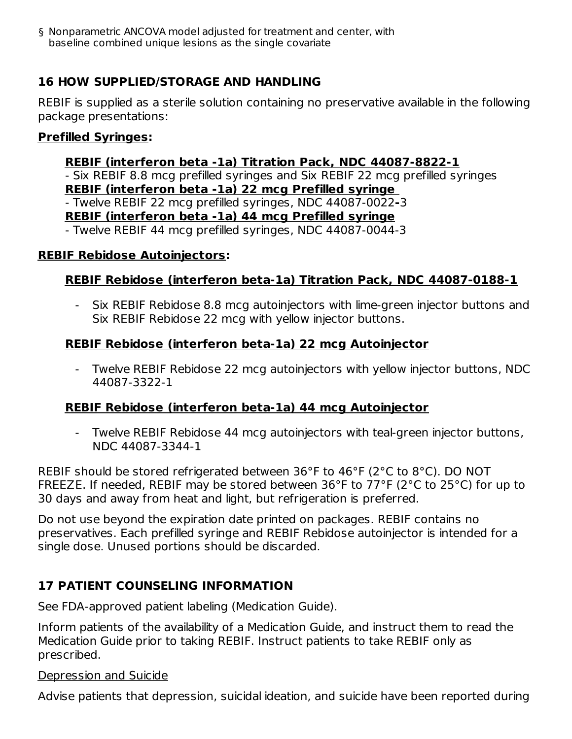‡ § Nonparametric ANCOVA model adjusted for treatment and center, with baseline combined unique lesions as the single covariate

## **16 HOW SUPPLIED/STORAGE AND HANDLING**

REBIF is supplied as a sterile solution containing no preservative available in the following package presentations:

#### **Prefilled Syringes:**

#### **REBIF (interferon beta -1a) Titration Pack, NDC 44087-8822-1**

- Six REBIF 8.8 mcg prefilled syringes and Six REBIF 22 mcg prefilled syringes **REBIF (interferon beta -1a) 22 mcg Prefilled syringe** - Twelve REBIF 22 mcg prefilled syringes, NDC 44087-0022**-**3

#### **REBIF (interferon beta -1a) 44 mcg Prefilled syringe**

- Twelve REBIF 44 mcg prefilled syringes, NDC 44087-0044-3

#### **REBIF Rebidose Autoinjectors:**

#### **REBIF Rebidose (interferon beta-1a) Titration Pack, NDC 44087-0188-1**

- Six REBIF Rebidose 8.8 mcg autoinjectors with lime-green injector buttons and Six REBIF Rebidose 22 mcg with yellow injector buttons.

#### **REBIF Rebidose (interferon beta-1a) 22 mcg Autoinjector**

- Twelve REBIF Rebidose 22 mcg autoinjectors with yellow injector buttons, NDC 44087-3322-1

#### **REBIF Rebidose (interferon beta-1a) 44 mcg Autoinjector**

Twelve REBIF Rebidose 44 mcg autoinjectors with teal-green injector buttons, NDC 44087-3344-1

REBIF should be stored refrigerated between 36°F to 46°F (2°C to 8°C). DO NOT FREEZE. If needed, REBIF may be stored between 36°F to 77°F (2°C to 25°C) for up to 30 days and away from heat and light, but refrigeration is preferred.

Do not use beyond the expiration date printed on packages. REBIF contains no preservatives. Each prefilled syringe and REBIF Rebidose autoinjector is intended for a single dose. Unused portions should be discarded.

#### **17 PATIENT COUNSELING INFORMATION**

See FDA-approved patient labeling (Medication Guide).

Inform patients of the availability of a Medication Guide, and instruct them to read the Medication Guide prior to taking REBIF. Instruct patients to take REBIF only as prescribed.

#### Depression and Suicide

Advise patients that depression, suicidal ideation, and suicide have been reported during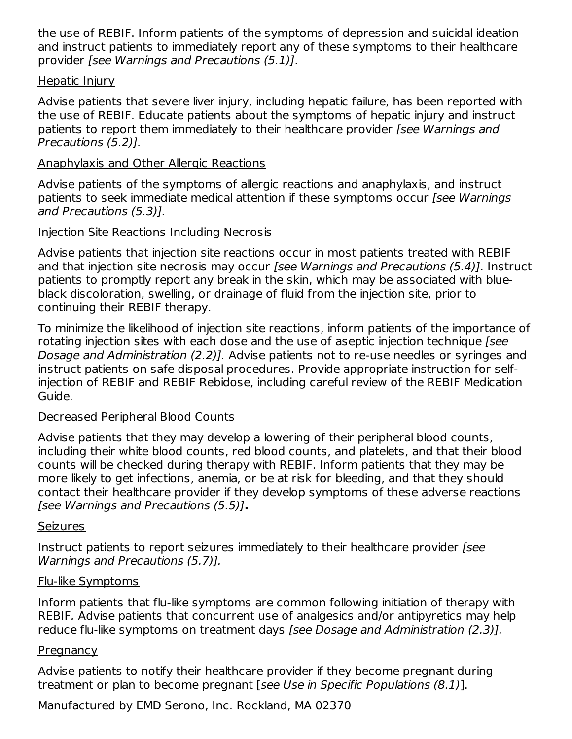the use of REBIF. Inform patients of the symptoms of depression and suicidal ideation and instruct patients to immediately report any of these symptoms to their healthcare provider [see Warnings and Precautions (5.1)].

#### Hepatic Injury

Advise patients that severe liver injury, including hepatic failure, has been reported with the use of REBIF. Educate patients about the symptoms of hepatic injury and instruct patients to report them immediately to their healthcare provider [see Warnings and Precautions (5.2)].

#### Anaphylaxis and Other Allergic Reactions

Advise patients of the symptoms of allergic reactions and anaphylaxis, and instruct patients to seek immediate medical attention if these symptoms occur [see Warnings] and Precautions (5.3)].

### Injection Site Reactions Including Necrosis

Advise patients that injection site reactions occur in most patients treated with REBIF and that injection site necrosis may occur [see Warnings and Precautions (5.4)]. Instruct patients to promptly report any break in the skin, which may be associated with blueblack discoloration, swelling, or drainage of fluid from the injection site, prior to continuing their REBIF therapy.

To minimize the likelihood of injection site reactions, inform patients of the importance of rotating injection sites with each dose and the use of aseptic injection technique [see Dosage and Administration (2.2)]. Advise patients not to re-use needles or syringes and instruct patients on safe disposal procedures. Provide appropriate instruction for selfinjection of REBIF and REBIF Rebidose, including careful review of the REBIF Medication Guide.

#### Decreased Peripheral Blood Counts

Advise patients that they may develop a lowering of their peripheral blood counts, including their white blood counts, red blood counts, and platelets, and that their blood counts will be checked during therapy with REBIF. Inform patients that they may be more likely to get infections, anemia, or be at risk for bleeding, and that they should contact their healthcare provider if they develop symptoms of these adverse reactions [see Warnings and Precautions (5.5)]**.**

#### Seizures

Instruct patients to report seizures immediately to their healthcare provider [see Warnings and Precautions (5.7)].

#### Flu-like Symptoms

Inform patients that flu-like symptoms are common following initiation of therapy with REBIF. Advise patients that concurrent use of analgesics and/or antipyretics may help reduce flu-like symptoms on treatment days [see Dosage and Administration (2.3)].

#### **Pregnancy**

Advise patients to notify their healthcare provider if they become pregnant during treatment or plan to become pregnant [see Use in Specific Populations (8.1)].

Manufactured by EMD Serono, Inc. Rockland, MA 02370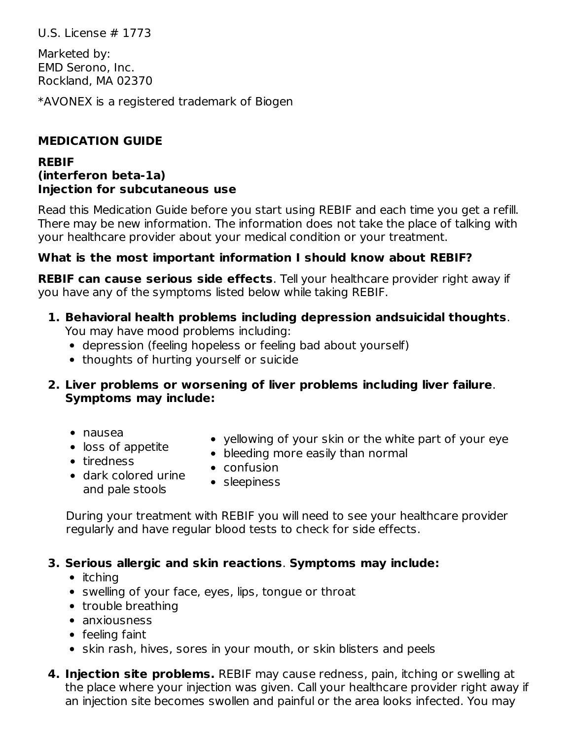U.S. License # 1773

Marketed by: EMD Serono, Inc. Rockland, MA 02370

\*AVONEX is a registered trademark of Biogen

## **MEDICATION GUIDE**

#### **REBIF (interferon beta-1a) Injection for subcutaneous use**

Read this Medication Guide before you start using REBIF and each time you get a refill. There may be new information. The information does not take the place of talking with your healthcare provider about your medical condition or your treatment.

## **What is the most important information I should know about REBIF?**

**REBIF can cause serious side effects**. Tell your healthcare provider right away if you have any of the symptoms listed below while taking REBIF.

#### **1. Behavioral health problems including depression andsuicidal thoughts**. You may have mood problems including:

- depression (feeling hopeless or feeling bad about yourself)
- thoughts of hurting yourself or suicide

#### **2. Liver problems or worsening of liver problems including liver failure**. **Symptoms may include:**

- nausea
- loss of appetite
- yellowing of your skin or the white part of your eye
- bleeding more easily than normal
- tiredness
- confusion
- dark colored urine and pale stools • sleepiness

During your treatment with REBIF you will need to see your healthcare provider regularly and have regular blood tests to check for side effects.

#### **3. Serious allergic and skin reactions**. **Symptoms may include:**

- $\bullet$  itching
- swelling of your face, eyes, lips, tongue or throat
- trouble breathing
- anxiousness
- feeling faint
- skin rash, hives, sores in your mouth, or skin blisters and peels
- **4. Injection site problems.** REBIF may cause redness, pain, itching or swelling at the place where your injection was given. Call your healthcare provider right away if an injection site becomes swollen and painful or the area looks infected. You may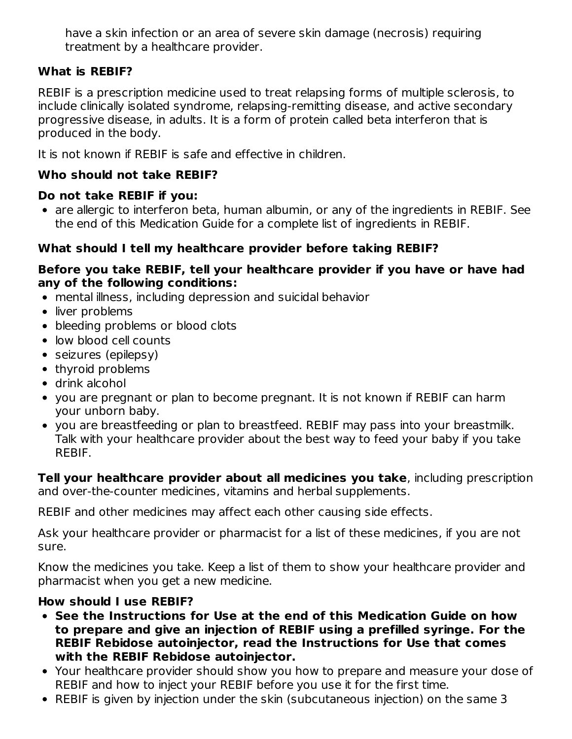have a skin infection or an area of severe skin damage (necrosis) requiring treatment by a healthcare provider.

## **What is REBIF?**

REBIF is a prescription medicine used to treat relapsing forms of multiple sclerosis, to include clinically isolated syndrome, relapsing-remitting disease, and active secondary progressive disease, in adults. It is a form of protein called beta interferon that is produced in the body.

It is not known if REBIF is safe and effective in children.

## **Who should not take REBIF?**

### **Do not take REBIF if you:**

are allergic to interferon beta, human albumin, or any of the ingredients in REBIF. See the end of this Medication Guide for a complete list of ingredients in REBIF.

## **What should I tell my healthcare provider before taking REBIF?**

#### **Before you take REBIF, tell your healthcare provider if you have or have had any of the following conditions:**

- mental illness, including depression and suicidal behavior
- liver problems
- bleeding problems or blood clots
- low blood cell counts
- seizures (epilepsy)
- thyroid problems
- drink alcohol
- you are pregnant or plan to become pregnant. It is not known if REBIF can harm your unborn baby.
- you are breastfeeding or plan to breastfeed. REBIF may pass into your breastmilk. Talk with your healthcare provider about the best way to feed your baby if you take REBIF.

**Tell your healthcare provider about all medicines you take**, including prescription and over-the-counter medicines, vitamins and herbal supplements.

REBIF and other medicines may affect each other causing side effects.

Ask your healthcare provider or pharmacist for a list of these medicines, if you are not sure.

Know the medicines you take. Keep a list of them to show your healthcare provider and pharmacist when you get a new medicine.

## **How should I use REBIF?**

- **See the Instructions for Use at the end of this Medication Guide on how to prepare and give an injection of REBIF using a prefilled syringe. For the REBIF Rebidose autoinjector, read the Instructions for Use that comes with the REBIF Rebidose autoinjector.**
- Your healthcare provider should show you how to prepare and measure your dose of REBIF and how to inject your REBIF before you use it for the first time.
- REBIF is given by injection under the skin (subcutaneous injection) on the same 3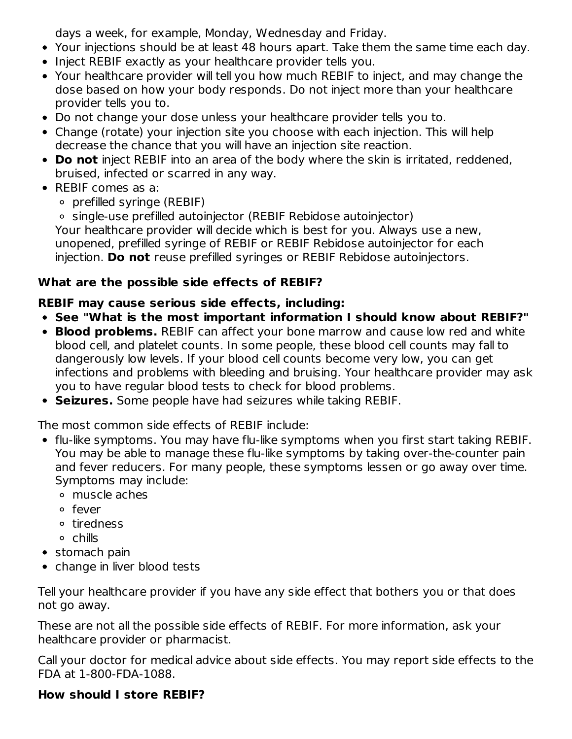days a week, for example, Monday, Wednesday and Friday.

- Your injections should be at least 48 hours apart. Take them the same time each day.
- Inject REBIF exactly as your healthcare provider tells you.
- Your healthcare provider will tell you how much REBIF to inject, and may change the dose based on how your body responds. Do not inject more than your healthcare provider tells you to.
- Do not change your dose unless your healthcare provider tells you to.
- Change (rotate) your injection site you choose with each injection. This will help decrease the chance that you will have an injection site reaction.
- **Do not** inject REBIF into an area of the body where the skin is irritated, reddened, bruised, infected or scarred in any way.
- REBIF comes as a:
	- $\circ$  prefilled syringe (REBIF)

single-use prefilled autoinjector (REBIF Rebidose autoinjector) Your healthcare provider will decide which is best for you. Always use a new, unopened, prefilled syringe of REBIF or REBIF Rebidose autoinjector for each injection. **Do not** reuse prefilled syringes or REBIF Rebidose autoinjectors.

# **What are the possible side effects of REBIF?**

## **REBIF may cause serious side effects, including:**

- **See "What is the most important information I should know about REBIF?"**
- **Blood problems.** REBIF can affect your bone marrow and cause low red and white blood cell, and platelet counts. In some people, these blood cell counts may fall to dangerously low levels. If your blood cell counts become very low, you can get infections and problems with bleeding and bruising. Your healthcare provider may ask you to have regular blood tests to check for blood problems.
- **Seizures.** Some people have had seizures while taking REBIF.

The most common side effects of REBIF include:

- flu-like symptoms. You may have flu-like symptoms when you first start taking REBIF. You may be able to manage these flu-like symptoms by taking over-the-counter pain and fever reducers. For many people, these symptoms lessen or go away over time. Symptoms may include:
	- muscle aches
	- o fever
	- tiredness
	- chills
- stomach pain
- change in liver blood tests

Tell your healthcare provider if you have any side effect that bothers you or that does not go away.

These are not all the possible side effects of REBIF. For more information, ask your healthcare provider or pharmacist.

Call your doctor for medical advice about side effects. You may report side effects to the FDA at 1-800-FDA-1088.

## **How should I store REBIF?**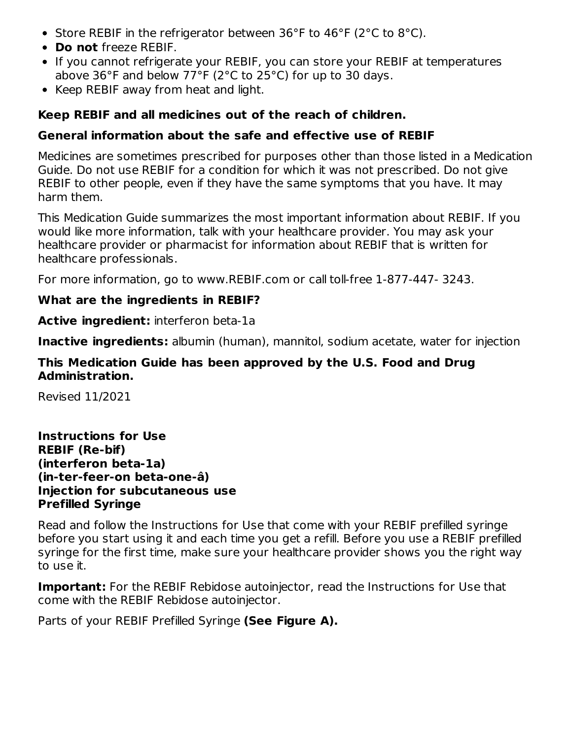- Store REBIF in the refrigerator between 36°F to 46°F (2°C to 8°C).
- **Do not** freeze REBIF.
- If you cannot refrigerate your REBIF, you can store your REBIF at temperatures above 36°F and below 77°F (2°C to 25°C) for up to 30 days.
- Keep REBIF away from heat and light.

### **Keep REBIF and all medicines out of the reach of children.**

### **General information about the safe and effective use of REBIF**

Medicines are sometimes prescribed for purposes other than those listed in a Medication Guide. Do not use REBIF for a condition for which it was not prescribed. Do not give REBIF to other people, even if they have the same symptoms that you have. It may harm them.

This Medication Guide summarizes the most important information about REBIF. If you would like more information, talk with your healthcare provider. You may ask your healthcare provider or pharmacist for information about REBIF that is written for healthcare professionals.

For more information, go to www.REBIF.com or call toll-free 1-877-447- 3243.

### **What are the ingredients in REBIF?**

**Active ingredient:** interferon beta-1a

**Inactive ingredients:** albumin (human), mannitol, sodium acetate, water for injection

### **This Medication Guide has been approved by the U.S. Food and Drug Administration.**

Revised 11/2021

**Instructions for Use REBIF (Re-bif) (interferon beta-1a) (in-ter-feer-on beta-one-â) Injection for subcutaneous use Prefilled Syringe**

Read and follow the Instructions for Use that come with your REBIF prefilled syringe before you start using it and each time you get a refill. Before you use a REBIF prefilled syringe for the first time, make sure your healthcare provider shows you the right way to use it.

**Important:** For the REBIF Rebidose autoinjector, read the Instructions for Use that come with the REBIF Rebidose autoinjector.

Parts of your REBIF Prefilled Syringe **(See Figure A).**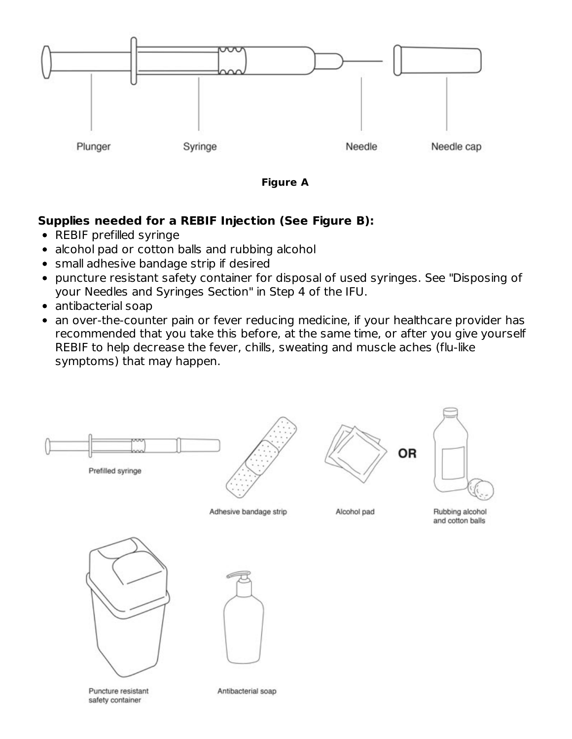

**Figure A**

## **Supplies needed for a REBIF Injection (See Figure B):**

- REBIF prefilled syringe
- alcohol pad or cotton balls and rubbing alcohol
- small adhesive bandage strip if desired
- puncture resistant safety container for disposal of used syringes. See "Disposing of your Needles and Syringes Section" in Step 4 of the IFU.
- antibacterial soap
- an over-the-counter pain or fever reducing medicine, if your healthcare provider has recommended that you take this before, at the same time, or after you give yourself REBIF to help decrease the fever, chills, sweating and muscle aches (flu-like symptoms) that may happen.





Antibacterial soap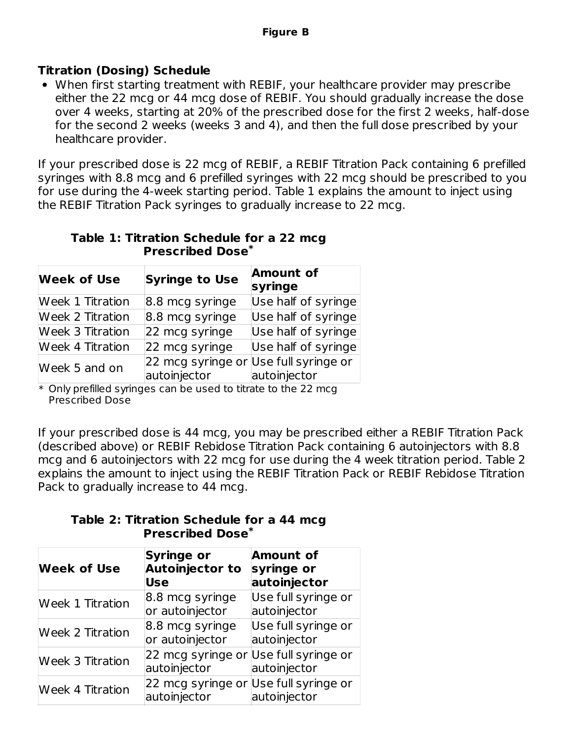## **Titration (Dosing) Schedule**

When first starting treatment with REBIF, your healthcare provider may prescribe either the 22 mcg or 44 mcg dose of REBIF. You should gradually increase the dose over 4 weeks, starting at 20% of the prescribed dose for the first 2 weeks, half-dose for the second 2 weeks (weeks 3 and 4), and then the full dose prescribed by your healthcare provider.

If your prescribed dose is 22 mcg of REBIF, a REBIF Titration Pack containing 6 prefilled syringes with 8.8 mcg and 6 prefilled syringes with 22 mcg should be prescribed to you for use during the 4-week starting period. Table 1 explains the amount to inject using the REBIF Titration Pack syringes to gradually increase to 22 mcg.

|  | Table 1: Titration Schedule for a 22 mcg |                                    |  |  |
|--|------------------------------------------|------------------------------------|--|--|
|  |                                          | <b>Prescribed Dose<sup>*</sup></b> |  |  |

| <b>Week of Use</b>      | <b>Syringe to Use</b>                                 | <b>Amount of</b><br>syringe |
|-------------------------|-------------------------------------------------------|-----------------------------|
| <b>Week 1 Titration</b> | 8.8 mcg syringe                                       | Use half of syringe         |
| <b>Week 2 Titration</b> | 8.8 mcg syringe                                       | Use half of syringe         |
| <b>Week 3 Titration</b> | 22 mcg syringe                                        | Use half of syringe         |
| <b>Week 4 Titration</b> | 22 mcg syringe                                        | Use half of syringe         |
| Week 5 and on           | 22 mcg syringe or Use full syringe or<br>autoinjector | autoinjector                |

\* Only prefilled syringes can be used to titrate to the 22 mcg Prescribed Dose

If your prescribed dose is 44 mcg, you may be prescribed either a REBIF Titration Pack (described above) or REBIF Rebidose Titration Pack containing 6 autoinjectors with 8.8 mcg and 6 autoinjectors with 22 mcg for use during the 4 week titration period. Table 2 explains the amount to inject using the REBIF Titration Pack or REBIF Rebidose Titration Pack to gradually increase to 44 mcg.

**Table 2: Titration Schedule for a 44 mcg Prescribed Dose \***

| <b>Week of Use</b>      | <b>Syringe or</b><br><b>Autoinjector to</b><br><b>Use</b> | <b>Amount of</b><br>syringe or<br>autoinjector |
|-------------------------|-----------------------------------------------------------|------------------------------------------------|
| <b>Week 1 Titration</b> | 8.8 mcg syringe<br>or autoinjector                        | Use full syringe or<br>autoinjector            |
| <b>Week 2 Titration</b> | 8.8 mcg syringe<br>or autoinjector                        | Use full syringe or<br>autoinjector            |
| <b>Week 3 Titration</b> | 22 mcg syringe or Use full syringe or<br>autoinjector     | autoinjector                                   |
| <b>Week 4 Titration</b> | 22 mcg syringe or Use full syringe or<br>autoinjector     | autoinjector                                   |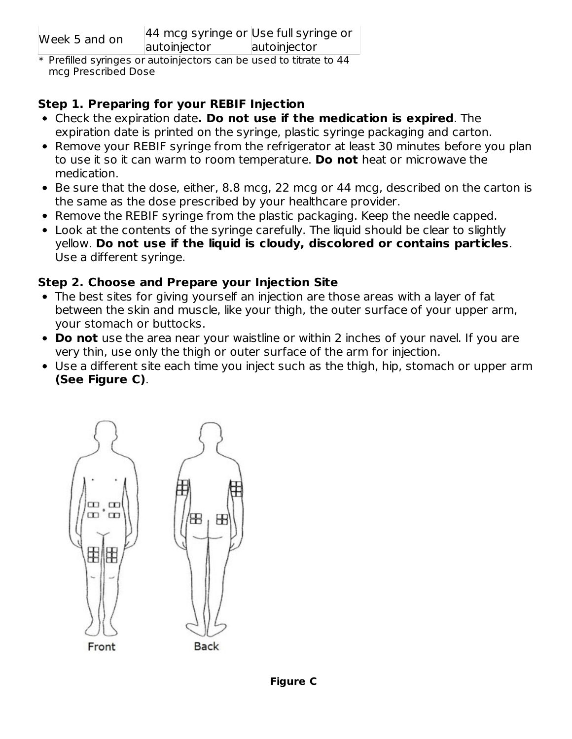|  | Week 5 and on |  |
|--|---------------|--|
|  |               |  |

\* Prefilled syringes or autoinjectors can be used to titrate to 44 mcg Prescribed Dose

## **Step 1. Preparing for your REBIF Injection**

- Check the expiration date**. Do not use if the medication is expired**. The expiration date is printed on the syringe, plastic syringe packaging and carton.
- Remove your REBIF syringe from the refrigerator at least 30 minutes before you plan to use it so it can warm to room temperature. **Do not** heat or microwave the medication.
- Be sure that the dose, either, 8.8 mcg, 22 mcg or 44 mcg, described on the carton is the same as the dose prescribed by your healthcare provider.
- Remove the REBIF syringe from the plastic packaging. Keep the needle capped.
- Look at the contents of the syringe carefully. The liquid should be clear to slightly yellow. **Do not use if the liquid is cloudy, discolored or contains particles**. Use a different syringe.

## **Step 2. Choose and Prepare your Injection Site**

- The best sites for giving yourself an injection are those areas with a layer of fat between the skin and muscle, like your thigh, the outer surface of your upper arm, your stomach or buttocks.
- **Do not** use the area near your waistline or within 2 inches of your navel. If you are very thin, use only the thigh or outer surface of the arm for injection.
- Use a different site each time you inject such as the thigh, hip, stomach or upper arm **(See Figure C)**.

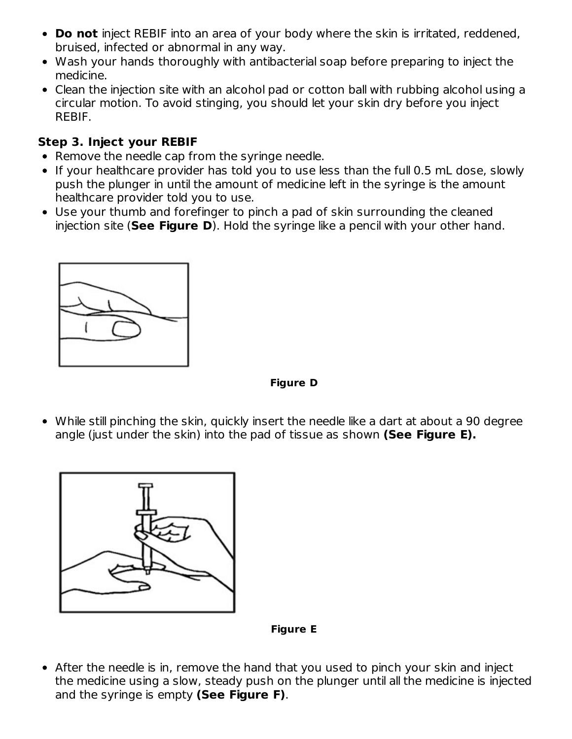- **Do not** inject REBIF into an area of your body where the skin is irritated, reddened, bruised, infected or abnormal in any way.
- Wash your hands thoroughly with antibacterial soap before preparing to inject the medicine.
- Clean the injection site with an alcohol pad or cotton ball with rubbing alcohol using a circular motion. To avoid stinging, you should let your skin dry before you inject REBIF.

### **Step 3. Inject your REBIF**

- Remove the needle cap from the syringe needle.
- If your healthcare provider has told you to use less than the full 0.5 mL dose, slowly push the plunger in until the amount of medicine left in the syringe is the amount healthcare provider told you to use.
- Use your thumb and forefinger to pinch a pad of skin surrounding the cleaned injection site (**See Figure D**). Hold the syringe like a pencil with your other hand.



**Figure D**

While still pinching the skin, quickly insert the needle like a dart at about a 90 degree angle (just under the skin) into the pad of tissue as shown **(See Figure E).**



**Figure E**

After the needle is in, remove the hand that you used to pinch your skin and inject the medicine using a slow, steady push on the plunger until all the medicine is injected and the syringe is empty **(See Figure F)**.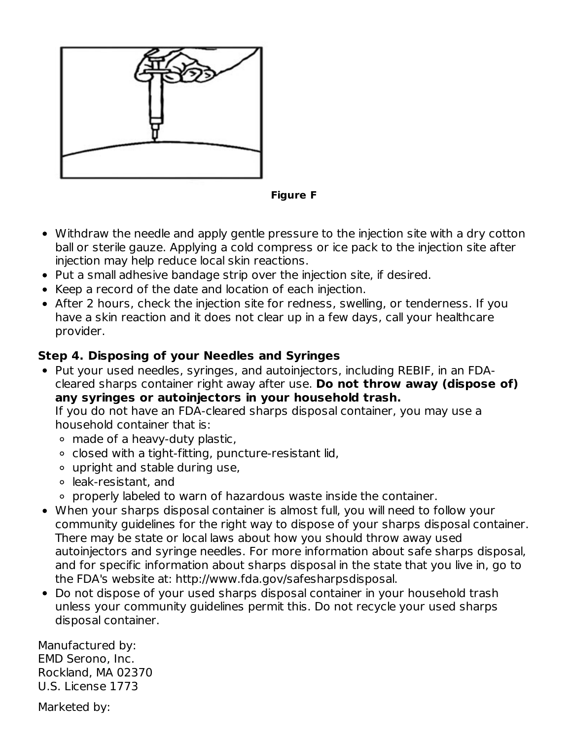

**Figure F**

- Withdraw the needle and apply gentle pressure to the injection site with a dry cotton ball or sterile gauze. Applying a cold compress or ice pack to the injection site after injection may help reduce local skin reactions.
- Put a small adhesive bandage strip over the injection site, if desired.
- Keep a record of the date and location of each injection.
- After 2 hours, check the injection site for redness, swelling, or tenderness. If you have a skin reaction and it does not clear up in a few days, call your healthcare provider.

## **Step 4. Disposing of your Needles and Syringes**

Put your used needles, syringes, and autoinjectors, including REBIF, in an FDAcleared sharps container right away after use. **Do not throw away (dispose of) any syringes or autoinjectors in your household trash.** If you do not have an FDA-cleared sharps disposal container, you may use a

household container that is:

- made of a heavy-duty plastic,
- o closed with a tight-fitting, puncture-resistant lid,
- upright and stable during use,
- leak-resistant, and
- properly labeled to warn of hazardous waste inside the container.
- When your sharps disposal container is almost full, you will need to follow your community guidelines for the right way to dispose of your sharps disposal container. There may be state or local laws about how you should throw away used autoinjectors and syringe needles. For more information about safe sharps disposal, and for specific information about sharps disposal in the state that you live in, go to the FDA's website at: http://www.fda.gov/safesharpsdisposal.
- Do not dispose of your used sharps disposal container in your household trash unless your community guidelines permit this. Do not recycle your used sharps disposal container.

Manufactured by: EMD Serono, Inc. Rockland, MA 02370 U.S. License 1773

Marketed by: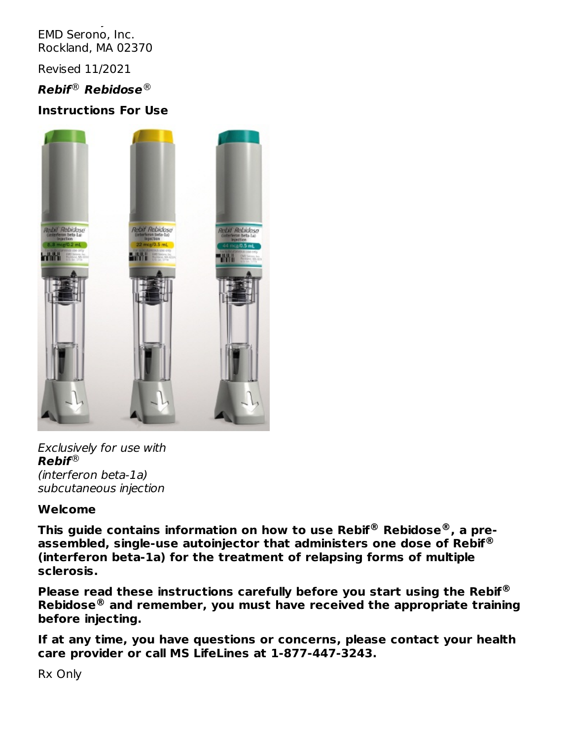Marketed by: EMD Serono, Inc. Rockland, MA 02370

Revised 11/2021

## $\bm{Reblf}^{\scriptsize\textcircled{\tiny{\textcirc}}}$   $\bm{Reblidose}^{\scriptsize\textcircled{\tiny{\textcircled{\tiny\textcirc}}}}$

### **Instructions For Use**



Exclusively for use with **Rebif** ® (interferon beta-1a) subcutaneous injection

#### **Welcome**

**This guide contains information on how to use Rebif Rebidose , a pre-® ® assembled, single-use autoinjector that administers one dose of Rebif ® (interferon beta-1a) for the treatment of relapsing forms of multiple sclerosis.**

**Please read these instructions carefully before you start using the Rebif ® Rebidose and remember, you must have received the appropriate training ®before injecting.**

**If at any time, you have questions or concerns, please contact your health care provider or call MS LifeLines at 1-877-447-3243.**

Rx Only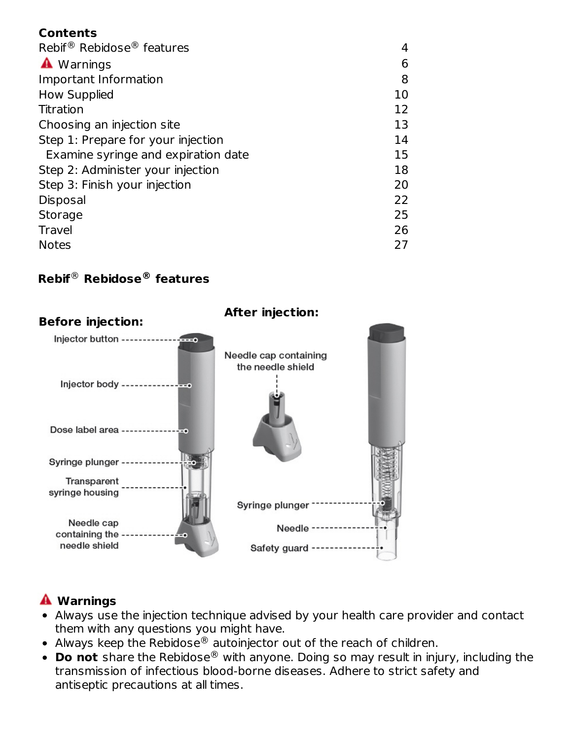### **Contents**

| Rebif <sup>®</sup> Rebidose <sup>®</sup> features |    |
|---------------------------------------------------|----|
| A Warnings                                        | 6  |
| Important Information                             | 8  |
| <b>How Supplied</b>                               | 10 |
| Titration                                         | 12 |
| Choosing an injection site                        | 13 |
| Step 1: Prepare for your injection                | 14 |
| Examine syringe and expiration date               | 15 |
| Step 2: Administer your injection                 | 18 |
| Step 3: Finish your injection                     | 20 |
| Disposal                                          | 22 |
| <b>Storage</b>                                    | 25 |
| Travel                                            | 26 |
| <b>Notes</b>                                      | 27 |

## **Rebif Rebidose features** ® **®**



# **Warnings**

- Always use the injection technique advised by your health care provider and contact them with any questions you might have.
- Always keep the Rebidose $^\circledR$  autoinjector out of the reach of children.
- **Do not** share the Rebidose® with anyone. Doing so may result in injury, including the transmission of infectious blood-borne diseases. Adhere to strict safety and antiseptic precautions at all times.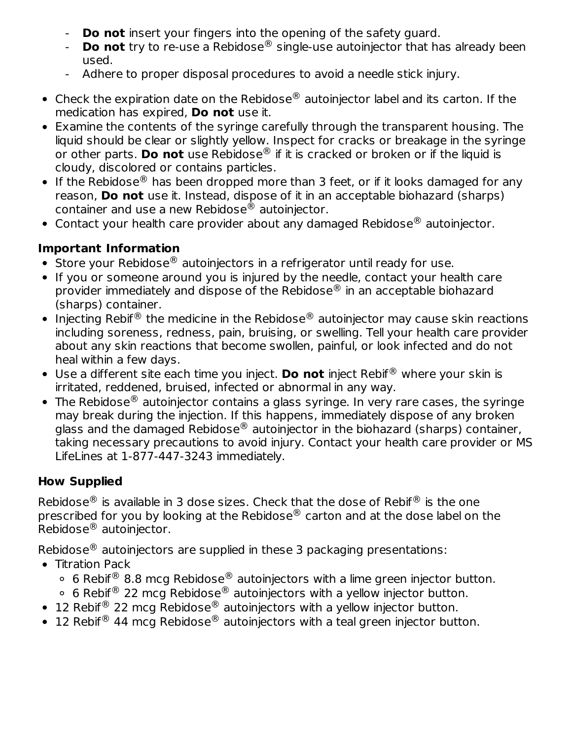- **Do not** insert your fingers into the opening of the safety guard.
- **Do not** try to re-use a Rebidose® single-use autoinjector that has already been used.
- Adhere to proper disposal procedures to avoid a needle stick injury.
- Check the expiration date on the Rebidose $^\circledR$  autoinjector label and its carton. If the medication has expired, **Do not** use it.
- Examine the contents of the syringe carefully through the transparent housing. The liquid should be clear or slightly yellow. Inspect for cracks or breakage in the syringe or other parts. **Do not** use Rebidose® if it is cracked or broken or if the liquid is cloudy, discolored or contains particles.
- If the Rebidose $^{\circledR}$  has been dropped more than 3 feet, or if it looks damaged for any reason, **Do not** use it. Instead, dispose of it in an acceptable biohazard (sharps) container and use a new Rebidose $^\circledR$  autoinjector.
- Contact your health care provider about any damaged Rebidose $^{\circledR}$  autoinjector.

## **Important Information**

- Store your Rebidose $^{\circledR}$  autoinjectors in a refrigerator until ready for use.
- If you or someone around you is injured by the needle, contact your health care provider immediately and dispose of the Rebidose $^{\circledR}$  in an acceptable biohazard (sharps) container.
- Injecting Rebif $^\circledR$  the medicine in the Rebidose $^\circledR$  autoinjector may cause skin reactions including soreness, redness, pain, bruising, or swelling. Tell your health care provider about any skin reactions that become swollen, painful, or look infected and do not heal within a few days.
- Use a different site each time you inject. Do not inject Rebif<sup>®</sup> where your skin is irritated, reddened, bruised, infected or abnormal in any way.
- The Rebidose $^\circledR$  autoinjector contains a glass syringe. In very rare cases, the syringe may break during the injection. If this happens, immediately dispose of any broken glass and the damaged Rebidose $^\circledR$  autoinjector in the biohazard (sharps) container, taking necessary precautions to avoid injury. Contact your health care provider or MS LifeLines at 1-877-447-3243 immediately.

## **How Supplied**

Rebidose $^\circledR$  is available in 3 dose sizes. Check that the dose of Rebif $^\circledR$  is the one prescribed for you by looking at the Rebidose $^\circledR$  carton and at the dose label on the Rebidose $^{\circledR}$  autoinjector.

Rebidose $^\circledR$  autoinjectors are supplied in these 3 packaging presentations:

- Titration Pack
	- 6 Rebif<sup>®</sup> 8.8 mcg Rebidose® autoinjectors with a lime green injector button.
	- 6 Rebif<sup>®</sup> 22 mcg Rebidose® autoinjectors with a yellow injector button.
- 12 Rebif<sup>®</sup> 22 mcg Rebidose® autoinjectors with a yellow injector button.
- 12 Rebif<sup>®</sup> 44 mcg Rebidose<sup>®</sup> autoinjectors with a teal green injector button.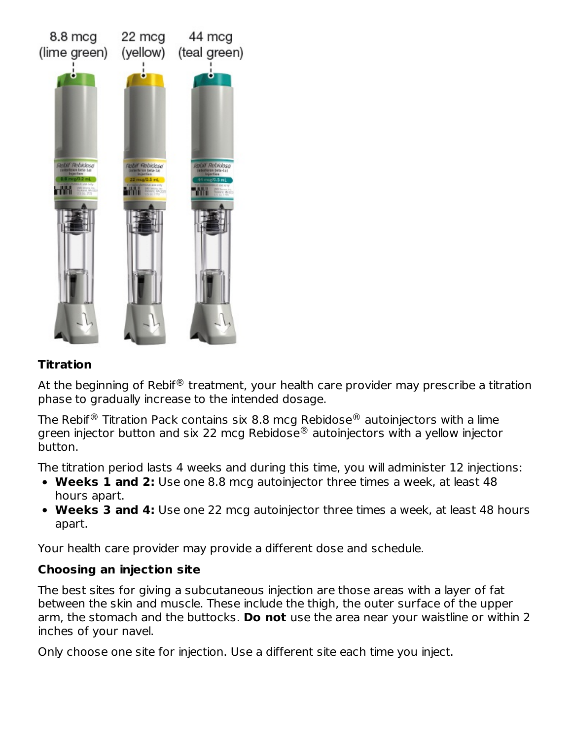

### **Titration**

At the beginning of Rebif $^\circledR$  treatment, your health care provider may prescribe a titration phase to gradually increase to the intended dosage.

The Rebif $^\circledR$  Titration Pack contains six 8.8 mcg Rebidose $^\circledR$  autoinjectors with a lime green injector button and six 22 mcg Rebidose $^\circledR$  autoinjectors with a yellow injector button.

The titration period lasts 4 weeks and during this time, you will administer 12 injections:

- **Weeks 1 and 2:** Use one 8.8 mcg autoinjector three times a week, at least 48 hours apart.
- **Weeks 3 and 4:** Use one 22 mcg autoinjector three times a week, at least 48 hours apart.

Your health care provider may provide a different dose and schedule.

#### **Choosing an injection site**

The best sites for giving a subcutaneous injection are those areas with a layer of fat between the skin and muscle. These include the thigh, the outer surface of the upper arm, the stomach and the buttocks. **Do not** use the area near your waistline or within 2 inches of your navel.

Only choose one site for injection. Use a different site each time you inject.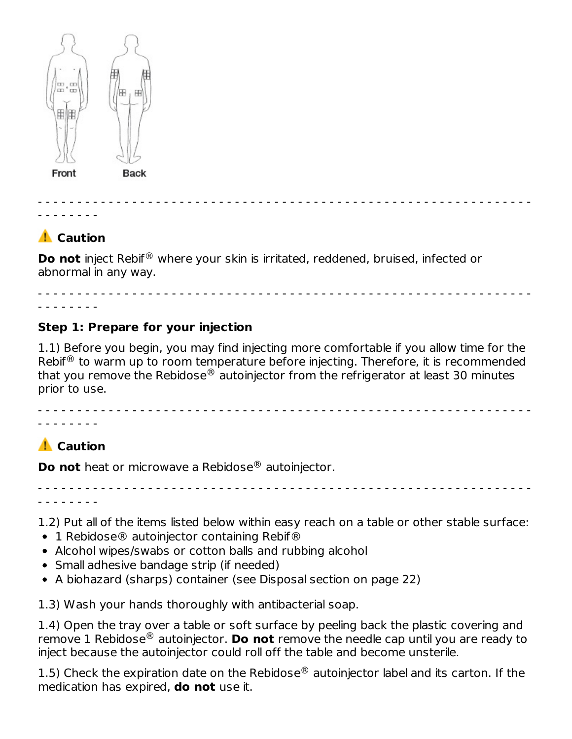

- - - - - - - - - - - - - - - - - - - - - - - - - - - - - - - - - - - - - - - - - - - - - - - - - - - - - - - - - - - - - - - - - - - - - - -

# **A** Caution

**Do not** inject Rebif<sup>®</sup> where your skin is irritated, reddened, bruised, infected or abnormal in any way.

- - - - - - - - - - - - - - - - - - - - - - - - - - - - - - - - - - - - - - - - - - - - - - - - - - - - - - - - - - - - - - - - - - - - - - -

### **Step 1: Prepare for your injection**

1.1) Before you begin, you may find injecting more comfortable if you allow time for the Rebif $^{\circledR}$  to warm up to room temperature before injecting. Therefore, it is recommended that you remove the Rebidose $^\circledast$  autoinjector from the refrigerator at least 30 minutes prior to use.

- - - - - - - - - - - - - - - - - - - - - - - - - - - - - - - - - - - - - - - - - - - - - - - - - - - - - - - - - - - - - - -

# **A** Caution

- - - - - - - -

**Do not** heat or microwave a Rebidose® autoinjector.

- - - - - - - - - - - - - - - - - - - - - - - - - - - - - - - - - - - - - - - - - - - - - - - - - - - - - - - - - - - - - - - - - - - - - - -

1.2) Put all of the items listed below within easy reach on a table or other stable surface:

- 1 Rebidose® autoiniector containing Rebif®
- Alcohol wipes/swabs or cotton balls and rubbing alcohol
- Small adhesive bandage strip (if needed)
- A biohazard (sharps) container (see Disposal section on page 22)

1.3) Wash your hands thoroughly with antibacterial soap.

1.4) Open the tray over a table or soft surface by peeling back the plastic covering and remove 1 Rebidose® autoinjector. **Do not** remove the needle cap until you are ready to inject because the autoinjector could roll off the table and become unsterile.

1.5) Check the expiration date on the Rebidose $^{\circledR}$  autoinjector label and its carton. If the medication has expired, **do not** use it.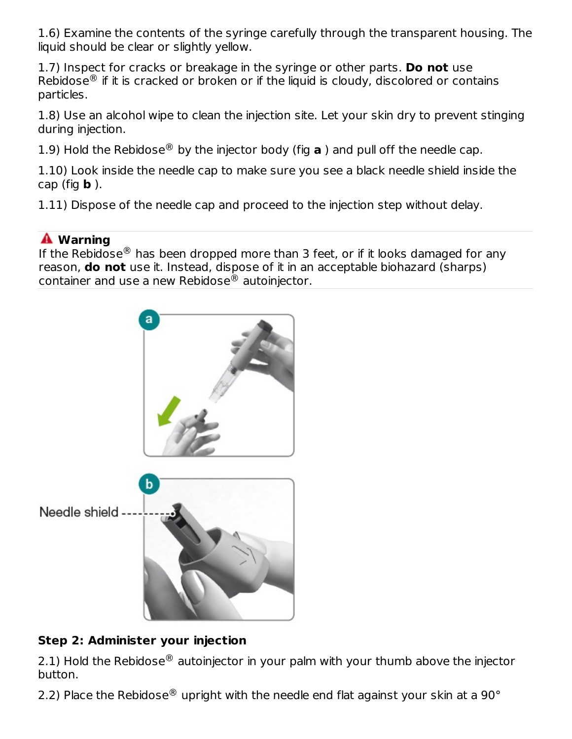1.6) Examine the contents of the syringe carefully through the transparent housing. The liquid should be clear or slightly yellow.

1.7) Inspect for cracks or breakage in the syringe or other parts. **Do not** use Rebidose $^\circledR$  if it is cracked or broken or if the liquid is cloudy, discolored or contains particles.

1.8) Use an alcohol wipe to clean the injection site. Let your skin dry to prevent stinging during injection.

1.9) Hold the Rebidose<sup>®</sup> by the injector body (fig  $\bf{a}$ ) and pull off the needle cap.

1.10) Look inside the needle cap to make sure you see a black needle shield inside the cap (fig **b** ).

1.11) Dispose of the needle cap and proceed to the injection step without delay.

# **Warning**

If the Rebidose $^\circledR$  has been dropped more than 3 feet, or if it looks damaged for any reason, **do not** use it. Instead, dispose of it in an acceptable biohazard (sharps) container and use a new Rebidose $^\circledR$  autoinjector.



# **Step 2: Administer your injection**

2.1) Hold the Rebidose $^\circledR$  autoinjector in your palm with your thumb above the injector button.

2.2) Place the Rebidose $^{\circledR}$  upright with the needle end flat against your skin at a 90 $^{\circ}$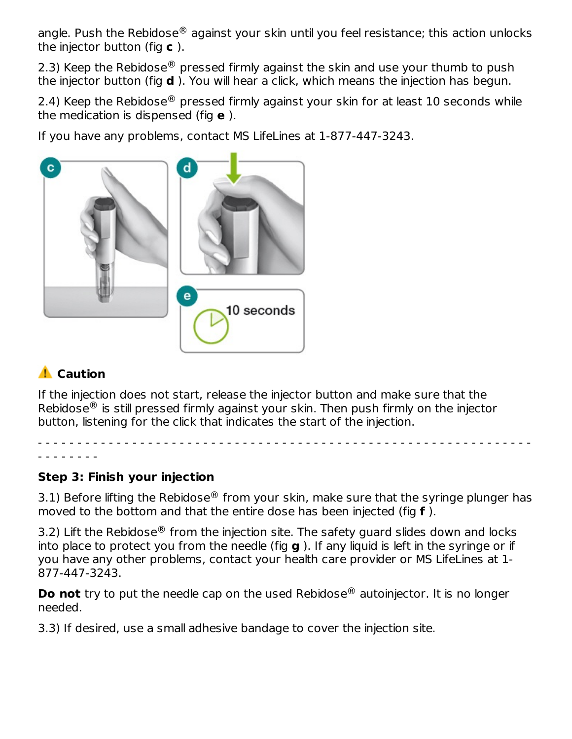angle. Push the Rebidose $^\circledR$  against your skin until you feel resistance; this action unlocks the injector button (fig **c** ).

2.3) Keep the Rebidose $^\circledR$  pressed firmly against the skin and use your thumb to push the injector button (fig **d** ). You will hear a click, which means the injection has begun.

2.4) Keep the Rebidose $^\circledR$  pressed firmly against your skin for at least 10 seconds while the medication is dispensed (fig **e** ).

If you have any problems, contact MS LifeLines at 1-877-447-3243.



# **A** Caution

If the injection does not start, release the injector button and make sure that the Rebidose $^\circledR$  is still pressed firmly against your skin. Then push firmly on the injector button, listening for the click that indicates the start of the injection.

- - - - - - - - - - - - - - - - - - - - - - - - - - - - - - - - - - - - - - - - - - - - - - - - - - - - - - - - - - - - - - -

# - - - - - - - -

## **Step 3: Finish your injection**

3.1) Before lifting the Rebidose $^{\circledR}$  from your skin, make sure that the syringe plunger has moved to the bottom and that the entire dose has been injected (fig **f** ).

3.2) Lift the Rebidose $^{\circledR}$  from the injection site. The safety guard slides down and locks into place to protect you from the needle (fig **g** ). If any liquid is left in the syringe or if you have any other problems, contact your health care provider or MS LifeLines at 1- 877-447-3243.

**Do not** try to put the needle cap on the used Rebidose<sup>®</sup> autoinjector. It is no longer needed.

3.3) If desired, use a small adhesive bandage to cover the injection site.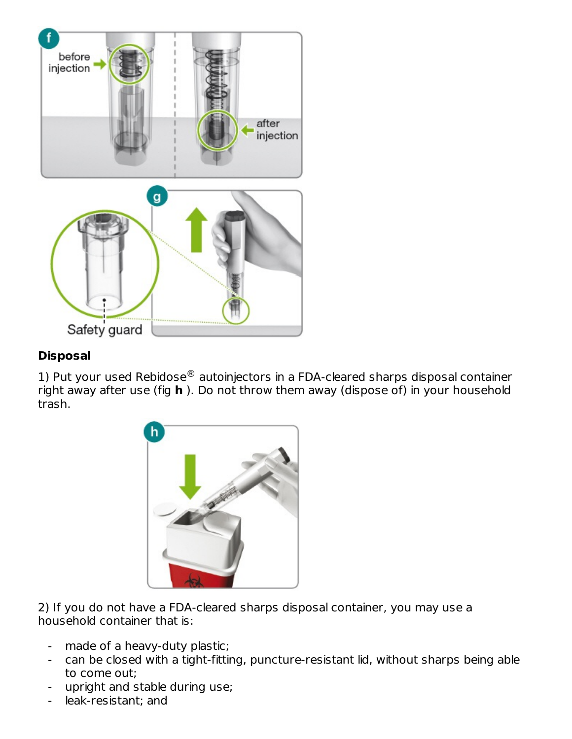

## **Disposal**

1) Put your used Rebidose $^{\circledR}$  autoinjectors in a FDA-cleared sharps disposal container right away after use (fig **h** ). Do not throw them away (dispose of) in your household trash.



2) If you do not have a FDA-cleared sharps disposal container, you may use a household container that is:

- made of a heavy-duty plastic;
- can be closed with a tight-fitting, puncture-resistant lid, without sharps being able to come out;
- upright and stable during use;
- leak-resistant; and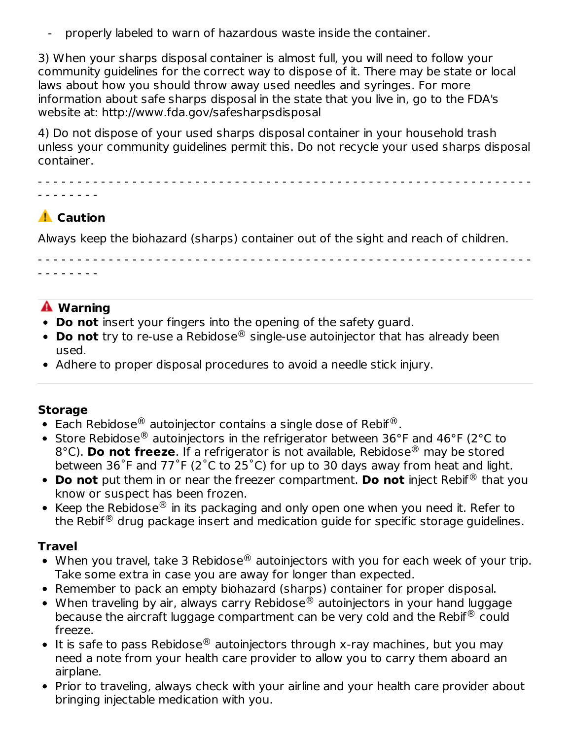properly labeled to warn of hazardous waste inside the container.

3) When your sharps disposal container is almost full, you will need to follow your community guidelines for the correct way to dispose of it. There may be state or local laws about how you should throw away used needles and syringes. For more information about safe sharps disposal in the state that you live in, go to the FDA's website at: http://www.fda.gov/safesharpsdisposal

4) Do not dispose of your used sharps disposal container in your household trash unless your community guidelines permit this. Do not recycle your used sharps disposal container.

- - - - - - - - - - - - - - - - - - - - - - - - - - - - - - - - - - - - - - - - - - - - - - - - - - - - - - - - - - - - - - -

# **A** Caution

- - - - - - - -

Always keep the biohazard (sharps) container out of the sight and reach of children.

- - - - - - - - - - - - - - - - - - - - - - - - - - - - - - - - - - - - - - - - - - - - - - - - - - - - - - - - - - - - - - -

## **Warning**

- - - - - - - -

- **Do not** insert your fingers into the opening of the safety guard.
- **Do not** try to re-use a Rebidose® single-use autoinjector that has already been used.
- Adhere to proper disposal procedures to avoid a needle stick injury.

#### **Storage**

- Each Rebidose $^{\circledR}$  autoinjector contains a single dose of Rebif $^{\circledR}$ .
- Store Rebidose $^{\circledR}$  autoinjectors in the refrigerator between 36°F and 46°F (2°C to 8°C). **Do not freeze**. If a refrigerator is not available, Rebidose® may be stored between 36˚F and 77˚F (2˚C to 25˚C) for up to 30 days away from heat and light.
- **Do not** put them in or near the freezer compartment. **Do not** inject Rebif<sup>®</sup> that you know or suspect has been frozen.
- Keep the Rebidose $^{\circledR}$  in its packaging and only open one when you need it. Refer to the Rebif $^\circledR$  drug package insert and medication guide for specific storage guidelines.

#### **Travel**

- When you travel, take 3 Rebidose $^\circledast$  autoinjectors with you for each week of your trip. Take some extra in case you are away for longer than expected.
- Remember to pack an empty biohazard (sharps) container for proper disposal.
- When traveling by air, always carry Rebidose $^\circledR$  autoinjectors in your hand luggage because the aircraft luggage compartment can be very cold and the Rebif $^\circledR$  could freeze.
- It is safe to pass Rebidose $^\circledR$  autoinjectors through x-ray machines, but you may need a note from your health care provider to allow you to carry them aboard an airplane.
- Prior to traveling, always check with your airline and your health care provider about bringing injectable medication with you.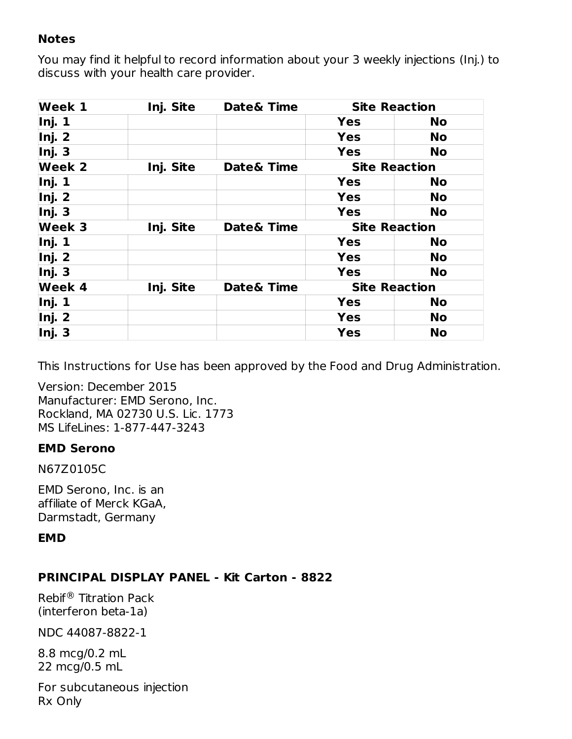#### **Notes**

You may find it helpful to record information about your 3 weekly injections (Inj.) to discuss with your health care provider.

| <b>Week 1</b> | Inj. Site | Date& Time | <b>Site Reaction</b> |           |
|---------------|-----------|------------|----------------------|-----------|
| Inj. 1        |           |            | <b>Yes</b>           | <b>No</b> |
| Inj. 2        |           |            | <b>Yes</b>           | <b>No</b> |
| Inj. 3        |           |            | <b>Yes</b>           | <b>No</b> |
| Week 2        | Inj. Site | Date& Time | <b>Site Reaction</b> |           |
| Inj. 1        |           |            | <b>Yes</b>           | <b>No</b> |
| Inj. 2        |           |            | <b>Yes</b>           | <b>No</b> |
| Inj. 3        |           |            | <b>Yes</b>           | <b>No</b> |
| <b>Week 3</b> | Inj. Site | Date& Time | <b>Site Reaction</b> |           |
| Inj. 1        |           |            | <b>Yes</b>           | <b>No</b> |
| Inj. 2        |           |            | <b>Yes</b>           | <b>No</b> |
| Inj. 3        |           |            | <b>Yes</b>           | <b>No</b> |
| Week 4        | Inj. Site | Date& Time | <b>Site Reaction</b> |           |
| Inj. 1        |           |            | <b>Yes</b>           | <b>No</b> |
| Inj. 2        |           |            | <b>Yes</b>           | No        |
| Inj. 3        |           |            | <b>Yes</b>           | <b>No</b> |

This Instructions for Use has been approved by the Food and Drug Administration.

Version: December 2015 Manufacturer: EMD Serono, Inc. Rockland, MA 02730 U.S. Lic. 1773 MS LifeLines: 1-877-447-3243

#### **EMD Serono**

N67Z0105C

EMD Serono, Inc. is an affiliate of Merck KGaA, Darmstadt, Germany

## **EMD**

#### **PRINCIPAL DISPLAY PANEL - Kit Carton - 8822**

Rebif<sup>®</sup> Titration Pack (interferon beta-1a)

NDC 44087-8822-1

8.8 mcg/0.2 mL 22 mcg/0.5 mL

For subcutaneous injection Rx Only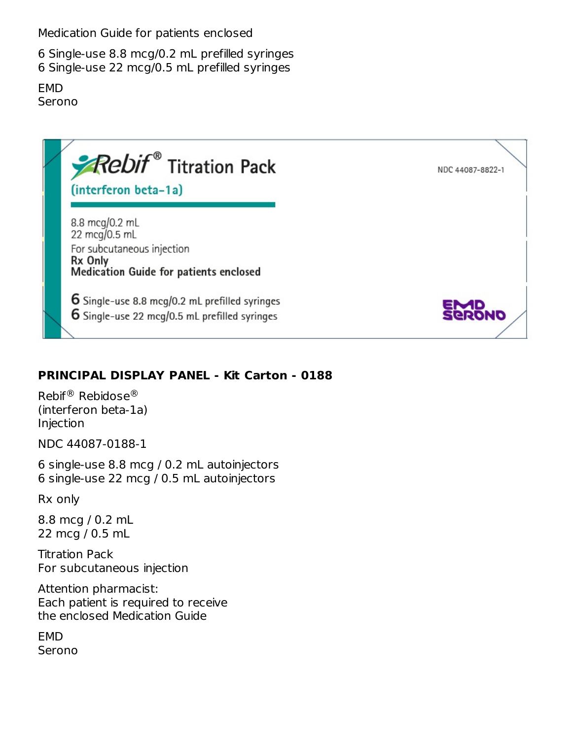Medication Guide for patients enclosed

6 Single-use 8.8 mcg/0.2 mL prefilled syringes 6 Single-use 22 mcg/0.5 mL prefilled syringes

EMD Serono



## **PRINCIPAL DISPLAY PANEL - Kit Carton - 0188**

Rebif® Rebidose® (interferon beta-1a) Injection

NDC 44087-0188-1

6 single-use 8.8 mcg / 0.2 mL autoinjectors 6 single-use 22 mcg / 0.5 mL autoinjectors

Rx only

8.8 mcg / 0.2 mL 22 mcg / 0.5 mL

Titration Pack For subcutaneous injection

Attention pharmacist: Each patient is required to receive the enclosed Medication Guide

EMD Serono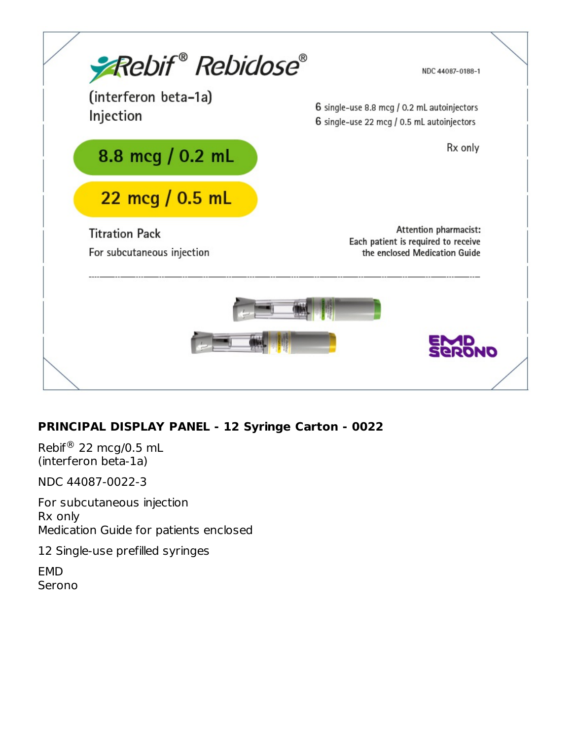

## **PRINCIPAL DISPLAY PANEL - 12 Syringe Carton - 0022**

Rebif $\mathcal{R}$  22 mcg/0.5 mL (interferon beta-1a)

NDC 44087-0022-3

For subcutaneous injection Rx only Medication Guide for patients enclosed

12 Single-use prefilled syringes

EMD Serono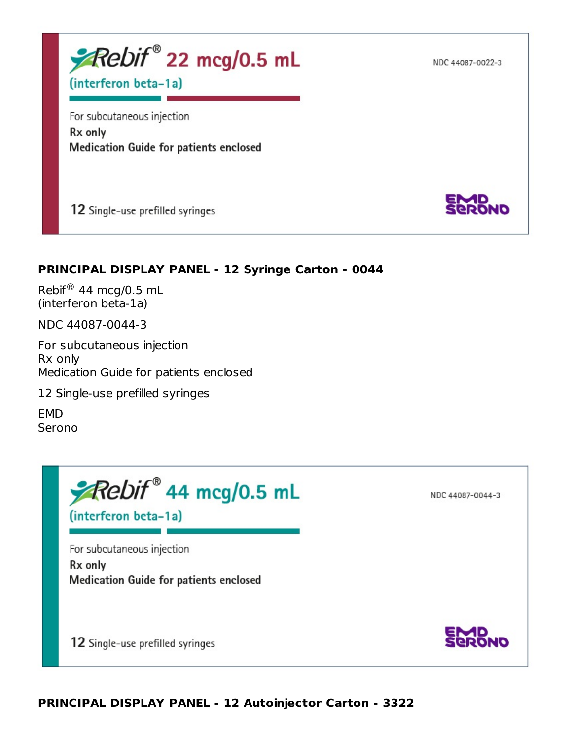NDC 44087-0022-3



(interferon beta-1a)

For subcutaneous injection Rx only **Medication Guide for patients enclosed** 

12 Single-use prefilled syringes



## **PRINCIPAL DISPLAY PANEL - 12 Syringe Carton - 0044**

Rebif $\mathcal{R}$  44 mcg/0.5 mL (interferon beta-1a)

NDC 44087-0044-3

For subcutaneous injection Rx only Medication Guide for patients enclosed

12 Single-use prefilled syringes

EMD Serono

Rebif® 44 mcg/0.5 mL

NDC 44087-0044-3

(interferon beta-1a)

For subcutaneous injection Rx only Medication Guide for patients enclosed

12 Single-use prefilled syringes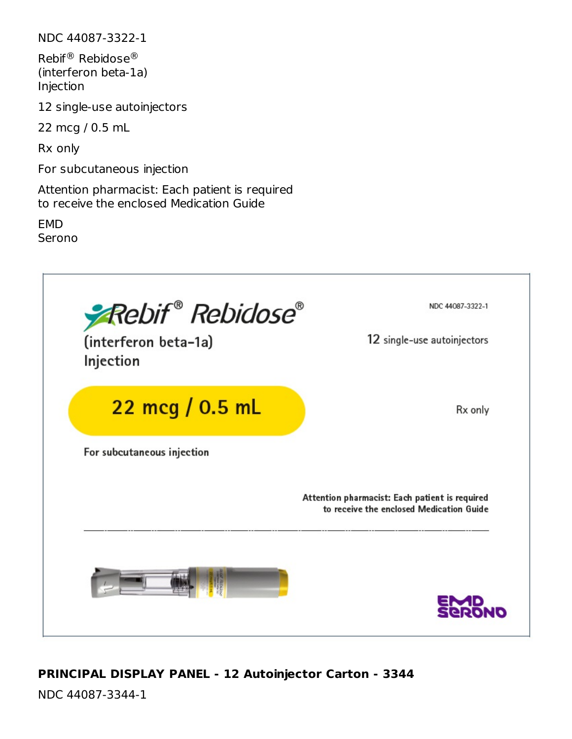NDC 44087-3322-1

Rebif® Rebidose® (interferon beta-1a) Injection

12 single-use autoinjectors

22 mcg / 0.5 mL

Rx only

For subcutaneous injection

Attention pharmacist: Each patient is required to receive the enclosed Medication Guide

**FMD** Serono



## **PRINCIPAL DISPLAY PANEL - 12 Autoinjector Carton - 3344**

NDC 44087-3344-1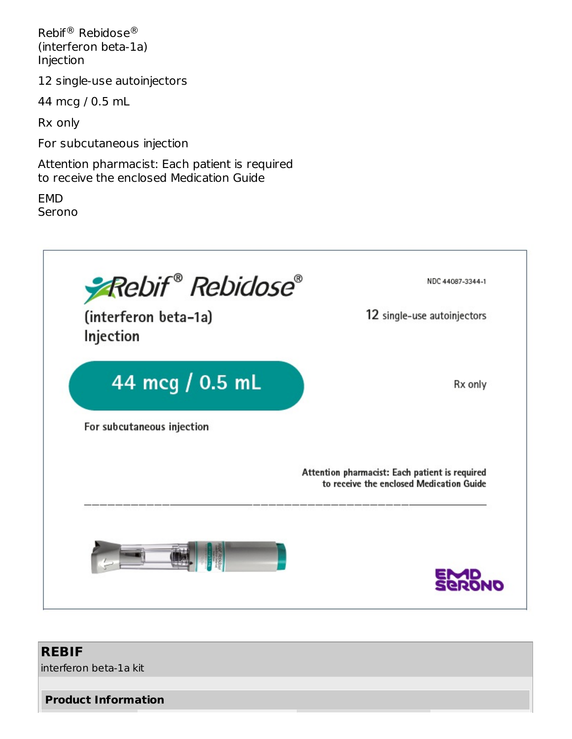Rebif® Rebidose® (interferon beta-1a) Injection

12 single-use autoinjectors

44 mcg / 0.5 mL

Rx only

For subcutaneous injection

Attention pharmacist: Each patient is required to receive the enclosed Medication Guide

EMD Serono



## **REBIF**

interferon beta-1a kit

**Product Information**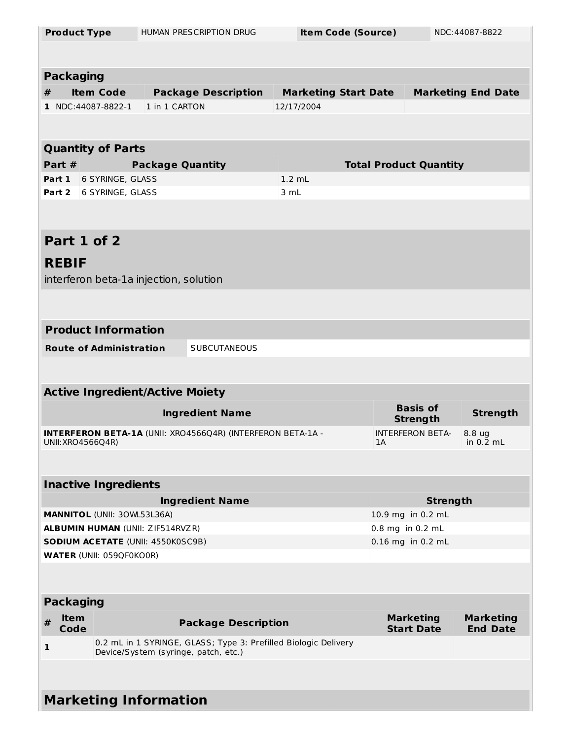| <b>Product Type</b> |                                    |                                          | HUMAN PRESCRIPTION DRUG                                                                                 | <b>Item Code (Source)</b>   |  |    |                                    | NDC:44087-8822            |
|---------------------|------------------------------------|------------------------------------------|---------------------------------------------------------------------------------------------------------|-----------------------------|--|----|------------------------------------|---------------------------|
|                     |                                    |                                          |                                                                                                         |                             |  |    |                                    |                           |
| <b>Packaging</b>    |                                    |                                          |                                                                                                         |                             |  |    |                                    |                           |
| #                   | <b>Item Code</b>                   |                                          | <b>Package Description</b>                                                                              | <b>Marketing Start Date</b> |  |    |                                    | <b>Marketing End Date</b> |
| 1 NDC:44087-8822-1  |                                    | 1 in 1 CARTON                            |                                                                                                         | 12/17/2004                  |  |    |                                    |                           |
|                     |                                    |                                          |                                                                                                         |                             |  |    |                                    |                           |
|                     |                                    |                                          |                                                                                                         |                             |  |    |                                    |                           |
|                     | <b>Quantity of Parts</b>           |                                          |                                                                                                         |                             |  |    |                                    |                           |
| Part #              |                                    | <b>Package Quantity</b>                  |                                                                                                         |                             |  |    | <b>Total Product Quantity</b>      |                           |
| Part 1              | 6 SYRINGE, GLASS                   |                                          |                                                                                                         | $1.2$ mL                    |  |    |                                    |                           |
| Part 2              | 6 SYRINGE, GLASS                   |                                          |                                                                                                         | 3 mL                        |  |    |                                    |                           |
|                     |                                    |                                          |                                                                                                         |                             |  |    |                                    |                           |
|                     |                                    |                                          |                                                                                                         |                             |  |    |                                    |                           |
| Part 1 of 2         |                                    |                                          |                                                                                                         |                             |  |    |                                    |                           |
| <b>REBIF</b>        |                                    |                                          |                                                                                                         |                             |  |    |                                    |                           |
|                     |                                    | interferon beta-1a injection, solution   |                                                                                                         |                             |  |    |                                    |                           |
|                     |                                    |                                          |                                                                                                         |                             |  |    |                                    |                           |
|                     |                                    |                                          |                                                                                                         |                             |  |    |                                    |                           |
|                     | <b>Product Information</b>         |                                          |                                                                                                         |                             |  |    |                                    |                           |
|                     | <b>Route of Administration</b>     |                                          | <b>SUBCUTANEOUS</b>                                                                                     |                             |  |    |                                    |                           |
|                     |                                    |                                          |                                                                                                         |                             |  |    |                                    |                           |
|                     |                                    |                                          |                                                                                                         |                             |  |    |                                    |                           |
|                     |                                    | <b>Active Ingredient/Active Moiety</b>   |                                                                                                         |                             |  |    |                                    |                           |
|                     |                                    |                                          | <b>Ingredient Name</b>                                                                                  |                             |  |    | <b>Basis of</b><br><b>Strength</b> | <b>Strength</b>           |
|                     |                                    |                                          | <b>INTERFERON BETA-1A (UNII: XRO4566Q4R) (INTERFERON BETA-1A -</b>                                      |                             |  |    | <b>INTERFERON BETA-</b>            | 8.8 ug                    |
| UNII: XRO4566Q4R)   |                                    |                                          |                                                                                                         |                             |  | 1A |                                    | in $0.2$ mL               |
|                     |                                    |                                          |                                                                                                         |                             |  |    |                                    |                           |
|                     | <b>Inactive Ingredients</b>        |                                          |                                                                                                         |                             |  |    |                                    |                           |
|                     |                                    |                                          | <b>Ingredient Name</b>                                                                                  |                             |  |    | <b>Strength</b>                    |                           |
|                     | <b>MANNITOL (UNII: 30WL53L36A)</b> |                                          |                                                                                                         |                             |  |    | 10.9 mg in 0.2 mL                  |                           |
|                     |                                    | <b>ALBUMIN HUMAN (UNII: ZIF514RVZR)</b>  |                                                                                                         |                             |  |    | 0.8 mg in 0.2 mL                   |                           |
|                     |                                    | <b>SODIUM ACETATE (UNII: 4550K0SC9B)</b> |                                                                                                         |                             |  |    | 0.16 mg in 0.2 mL                  |                           |
|                     | <b>WATER (UNII: 059QF0KO0R)</b>    |                                          |                                                                                                         |                             |  |    |                                    |                           |
|                     |                                    |                                          |                                                                                                         |                             |  |    |                                    |                           |
|                     | <b>Packaging</b>                   |                                          |                                                                                                         |                             |  |    |                                    |                           |
| <b>Item</b><br>#    |                                    |                                          |                                                                                                         |                             |  |    | <b>Marketing</b>                   | <b>Marketing</b>          |
| Code                |                                    |                                          | <b>Package Description</b>                                                                              |                             |  |    | <b>Start Date</b>                  | <b>End Date</b>           |
| 1                   |                                    |                                          | 0.2 mL in 1 SYRINGE, GLASS; Type 3: Prefilled Biologic Delivery<br>Device/System (syringe, patch, etc.) |                             |  |    |                                    |                           |
|                     |                                    |                                          |                                                                                                         |                             |  |    |                                    |                           |
|                     |                                    |                                          |                                                                                                         |                             |  |    |                                    |                           |
|                     |                                    | <b>Marketing Information</b>             |                                                                                                         |                             |  |    |                                    |                           |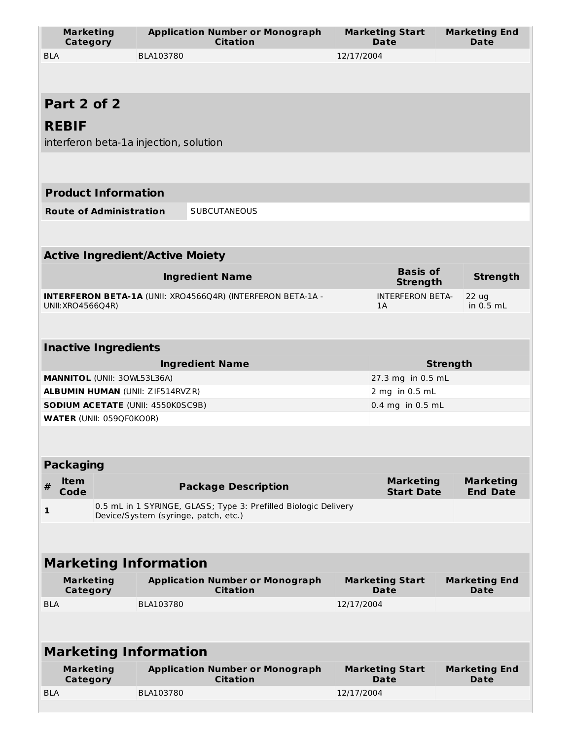| <b>Marketing</b><br>Category             |           | <b>Application Number or Monograph</b><br><b>Citation</b>                                               | <b>Marketing Start</b><br><b>Marketing End</b><br><b>Date</b><br><b>Date</b> |                                       |                                     |  |  |  |
|------------------------------------------|-----------|---------------------------------------------------------------------------------------------------------|------------------------------------------------------------------------------|---------------------------------------|-------------------------------------|--|--|--|
| <b>BLA</b>                               | BLA103780 |                                                                                                         |                                                                              | 12/17/2004                            |                                     |  |  |  |
|                                          |           |                                                                                                         |                                                                              |                                       |                                     |  |  |  |
| Part 2 of 2                              |           |                                                                                                         |                                                                              |                                       |                                     |  |  |  |
| <b>REBIF</b>                             |           |                                                                                                         |                                                                              |                                       |                                     |  |  |  |
| interferon beta-1a injection, solution   |           |                                                                                                         |                                                                              |                                       |                                     |  |  |  |
|                                          |           |                                                                                                         |                                                                              |                                       |                                     |  |  |  |
| <b>Product Information</b>               |           |                                                                                                         |                                                                              |                                       |                                     |  |  |  |
| <b>Route of Administration</b>           |           | <b>SUBCUTANEOUS</b>                                                                                     |                                                                              |                                       |                                     |  |  |  |
|                                          |           |                                                                                                         |                                                                              |                                       |                                     |  |  |  |
| <b>Active Ingredient/Active Moiety</b>   |           |                                                                                                         |                                                                              |                                       |                                     |  |  |  |
|                                          |           | <b>Ingredient Name</b>                                                                                  |                                                                              | <b>Basis of</b><br><b>Strength</b>    | <b>Strength</b>                     |  |  |  |
| UNII: XRO4566Q4R)                        |           | <b>INTERFERON BETA-1A (UNII: XRO4566Q4R) (INTERFERON BETA-1A -</b>                                      |                                                                              | <b>INTERFERON BETA-</b><br>1A         | 22 ug<br>in $0.5$ mL                |  |  |  |
|                                          |           |                                                                                                         |                                                                              |                                       |                                     |  |  |  |
| <b>Inactive Ingredients</b>              |           |                                                                                                         |                                                                              |                                       |                                     |  |  |  |
|                                          |           | <b>Ingredient Name</b>                                                                                  |                                                                              |                                       | <b>Strength</b>                     |  |  |  |
| MANNITOL (UNII: 30WL53L36A)              |           |                                                                                                         |                                                                              | 27.3 mg in 0.5 mL                     |                                     |  |  |  |
| <b>ALBUMIN HUMAN (UNII: ZIF514RVZR)</b>  |           |                                                                                                         |                                                                              | 2 mg in 0.5 mL                        |                                     |  |  |  |
| <b>SODIUM ACETATE (UNII: 4550K0SC9B)</b> |           |                                                                                                         |                                                                              | 0.4 mg in 0.5 mL                      |                                     |  |  |  |
| <b>WATER (UNII: 059QF0KO0R)</b>          |           |                                                                                                         |                                                                              |                                       |                                     |  |  |  |
|                                          |           |                                                                                                         |                                                                              |                                       |                                     |  |  |  |
| <b>Packaging</b>                         |           |                                                                                                         |                                                                              |                                       |                                     |  |  |  |
| <b>Item</b><br>#<br>Code                 |           | <b>Package Description</b>                                                                              |                                                                              | <b>Marketing</b><br><b>Start Date</b> | <b>Marketing</b><br><b>End Date</b> |  |  |  |
| 1                                        |           | 0.5 mL in 1 SYRINGE, GLASS; Type 3: Prefilled Biologic Delivery<br>Device/System (syringe, patch, etc.) |                                                                              |                                       |                                     |  |  |  |
|                                          |           |                                                                                                         |                                                                              |                                       |                                     |  |  |  |
| <b>Marketing Information</b>             |           |                                                                                                         |                                                                              |                                       |                                     |  |  |  |
| <b>Marketing</b><br>Category             |           | <b>Application Number or Monograph</b><br><b>Citation</b>                                               | <b>Marketing Start</b><br>Date                                               |                                       | <b>Marketing End</b><br>Date        |  |  |  |
| <b>BLA</b>                               | BLA103780 |                                                                                                         | 12/17/2004                                                                   |                                       |                                     |  |  |  |
|                                          |           |                                                                                                         |                                                                              |                                       |                                     |  |  |  |
| <b>Marketing Information</b>             |           |                                                                                                         |                                                                              |                                       |                                     |  |  |  |
| <b>Marketing</b><br>Category             |           | <b>Application Number or Monograph</b><br><b>Citation</b>                                               |                                                                              | <b>Marketing Start</b><br><b>Date</b> | <b>Marketing End</b><br>Date        |  |  |  |
| <b>BLA</b>                               | BLA103780 |                                                                                                         | 12/17/2004                                                                   |                                       |                                     |  |  |  |
|                                          |           |                                                                                                         |                                                                              |                                       |                                     |  |  |  |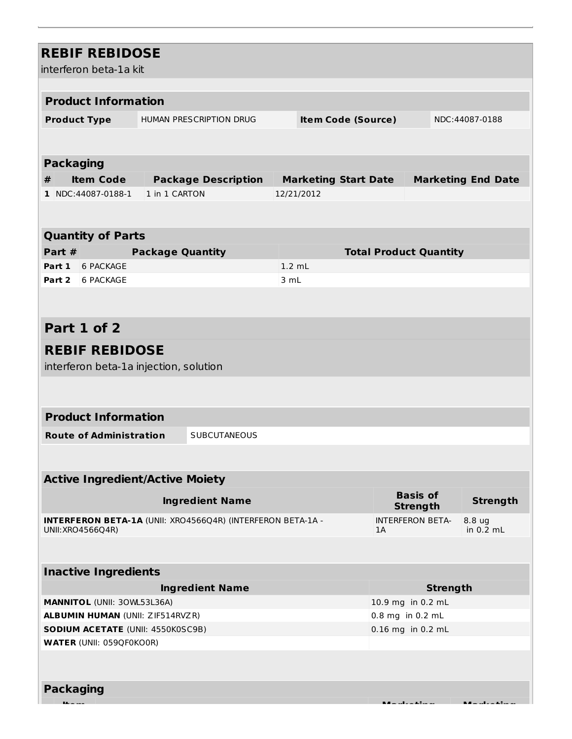| <b>REBIF REBIDOSE</b><br>interferon beta-1a kit                                     |                                                                    |            |                               |                                       |                           |
|-------------------------------------------------------------------------------------|--------------------------------------------------------------------|------------|-------------------------------|---------------------------------------|---------------------------|
|                                                                                     |                                                                    |            |                               |                                       |                           |
| <b>Product Information</b>                                                          |                                                                    |            |                               |                                       |                           |
| <b>Product Type</b>                                                                 | HUMAN PRESCRIPTION DRUG                                            |            | <b>Item Code (Source)</b>     |                                       | NDC:44087-0188            |
|                                                                                     |                                                                    |            |                               |                                       |                           |
|                                                                                     |                                                                    |            |                               |                                       |                           |
| <b>Packaging</b>                                                                    |                                                                    |            |                               |                                       |                           |
| <b>Item Code</b><br>#                                                               | <b>Package Description</b>                                         |            | <b>Marketing Start Date</b>   |                                       | <b>Marketing End Date</b> |
| 1 NDC:44087-0188-1                                                                  | 1 in 1 CARTON                                                      | 12/21/2012 |                               |                                       |                           |
|                                                                                     |                                                                    |            |                               |                                       |                           |
|                                                                                     |                                                                    |            |                               |                                       |                           |
| <b>Quantity of Parts</b>                                                            |                                                                    |            |                               |                                       |                           |
| Part #                                                                              | <b>Package Quantity</b>                                            |            | <b>Total Product Quantity</b> |                                       |                           |
| Part 1<br>6 PACKAGE                                                                 |                                                                    | $1.2$ mL   |                               |                                       |                           |
| Part 2 6 PACKAGE                                                                    |                                                                    | 3 mL       |                               |                                       |                           |
|                                                                                     |                                                                    |            |                               |                                       |                           |
|                                                                                     |                                                                    |            |                               |                                       |                           |
| Part 1 of 2                                                                         |                                                                    |            |                               |                                       |                           |
| <b>REBIF REBIDOSE</b>                                                               |                                                                    |            |                               |                                       |                           |
| interferon beta-1a injection, solution                                              |                                                                    |            |                               |                                       |                           |
|                                                                                     |                                                                    |            |                               |                                       |                           |
|                                                                                     |                                                                    |            |                               |                                       |                           |
| <b>Product Information</b>                                                          |                                                                    |            |                               |                                       |                           |
| <b>Route of Administration</b>                                                      | <b>SUBCUTANEOUS</b>                                                |            |                               |                                       |                           |
|                                                                                     |                                                                    |            |                               |                                       |                           |
|                                                                                     |                                                                    |            |                               |                                       |                           |
| <b>Active Ingredient/Active Moiety</b>                                              |                                                                    |            |                               |                                       |                           |
|                                                                                     | <b>Ingredient Name</b>                                             |            |                               | <b>Basis of</b><br><b>Strength</b>    | <b>Strength</b>           |
|                                                                                     | <b>INTERFERON BETA-1A (UNII: XRO4566Q4R) (INTERFERON BETA-1A -</b> |            |                               | <b>INTERFERON BETA-</b>               | 8.8 ug                    |
| UNII: XRO4566Q4R)                                                                   |                                                                    |            | 1A                            |                                       | in 0.2 mL                 |
|                                                                                     |                                                                    |            |                               |                                       |                           |
|                                                                                     |                                                                    |            |                               |                                       |                           |
| <b>Inactive Ingredients</b>                                                         |                                                                    |            |                               |                                       |                           |
|                                                                                     | <b>Ingredient Name</b>                                             |            |                               | <b>Strength</b>                       |                           |
| MANNITOL (UNII: 30WL53L36A)                                                         |                                                                    |            |                               | 10.9 mg in 0.2 mL                     |                           |
| <b>ALBUMIN HUMAN (UNII: ZIF514RVZR)</b><br><b>SODIUM ACETATE (UNII: 4550K0SC9B)</b> |                                                                    |            |                               | 0.8 mg in 0.2 mL<br>0.16 mg in 0.2 mL |                           |
| <b>WATER (UNII: 059QF0KO0R)</b>                                                     |                                                                    |            |                               |                                       |                           |
|                                                                                     |                                                                    |            |                               |                                       |                           |
|                                                                                     |                                                                    |            |                               |                                       |                           |
| <b>Packaging</b>                                                                    |                                                                    |            |                               |                                       |                           |
|                                                                                     |                                                                    |            |                               | .<br>Alfred and a film as             |                           |
|                                                                                     |                                                                    |            |                               |                                       |                           |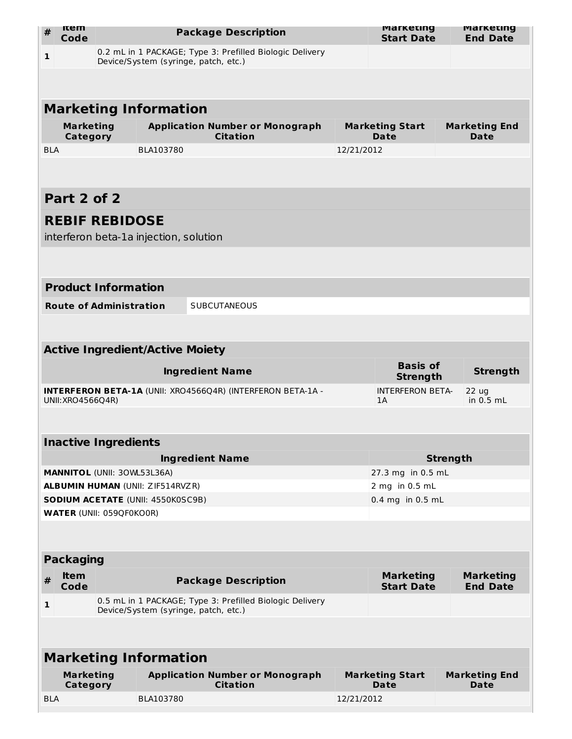| #            | <b>Item</b><br>Code          |                                 | <b>Package Description</b>                                                                       |            | <b>Marketing</b><br><b>Start Date</b> | <b>Marketing</b><br><b>End Date</b> |
|--------------|------------------------------|---------------------------------|--------------------------------------------------------------------------------------------------|------------|---------------------------------------|-------------------------------------|
| $\mathbf{1}$ |                              |                                 | 0.2 mL in 1 PACKAGE; Type 3: Prefilled Biologic Delivery<br>Device/System (syringe, patch, etc.) |            |                                       |                                     |
|              |                              |                                 |                                                                                                  |            |                                       |                                     |
|              |                              |                                 | <b>Marketing Information</b>                                                                     |            |                                       |                                     |
|              | <b>Marketing</b><br>Category |                                 | <b>Application Number or Monograph</b><br><b>Citation</b>                                        |            | <b>Marketing Start</b><br><b>Date</b> | <b>Marketing End</b><br>Date        |
| <b>BLA</b>   |                              |                                 | BLA103780                                                                                        | 12/21/2012 |                                       |                                     |
|              |                              |                                 |                                                                                                  |            |                                       |                                     |
|              | Part 2 of 2                  |                                 |                                                                                                  |            |                                       |                                     |
|              |                              | <b>REBIF REBIDOSE</b>           | interferon beta-1a injection, solution                                                           |            |                                       |                                     |
|              |                              |                                 |                                                                                                  |            |                                       |                                     |
|              |                              | <b>Product Information</b>      |                                                                                                  |            |                                       |                                     |
|              |                              | <b>Route of Administration</b>  | <b>SUBCUTANEOUS</b>                                                                              |            |                                       |                                     |
|              |                              |                                 |                                                                                                  |            |                                       |                                     |
|              |                              |                                 | <b>Active Ingredient/Active Moiety</b>                                                           |            |                                       |                                     |
|              |                              |                                 | <b>Ingredient Name</b>                                                                           |            | <b>Basis of</b><br><b>Strength</b>    | <b>Strength</b>                     |
|              | UNII: XRO4566Q4R)            |                                 | <b>INTERFERON BETA-1A (UNII: XRO4566Q4R) (INTERFERON BETA-1A -</b>                               |            | <b>INTERFERON BETA-</b><br>1A         | 22 <sub>uq</sub><br>in $0.5$ mL     |
|              |                              |                                 |                                                                                                  |            |                                       |                                     |
|              |                              | <b>Inactive Ingredients</b>     |                                                                                                  |            |                                       |                                     |
|              |                              |                                 | <b>Ingredient Name</b>                                                                           |            |                                       | <b>Strength</b>                     |
|              |                              |                                 | <b>MANNITOL (UNII: 30WL53L36A)</b>                                                               |            | 27.3 mg in 0.5 mL                     |                                     |
|              |                              |                                 | <b>ALBUMIN HUMAN (UNII: ZIF514RVZR)</b>                                                          |            | 2 mg in 0.5 mL                        |                                     |
|              |                              | <b>WATER (UNII: 059QF0KO0R)</b> | <b>SODIUM ACETATE (UNII: 4550K0SC9B)</b>                                                         |            | $0.4$ mg in $0.5$ mL                  |                                     |
|              |                              |                                 |                                                                                                  |            |                                       |                                     |
|              | <b>Packaging</b>             |                                 |                                                                                                  |            |                                       |                                     |
| #            | <b>Item</b><br>Code          |                                 | <b>Package Description</b>                                                                       |            | <b>Marketing</b><br><b>Start Date</b> | <b>Marketing</b><br><b>End Date</b> |
| 1            |                              |                                 | 0.5 mL in 1 PACKAGE; Type 3: Prefilled Biologic Delivery<br>Device/System (syringe, patch, etc.) |            |                                       |                                     |
|              |                              |                                 |                                                                                                  |            |                                       |                                     |
|              |                              |                                 | <b>Marketing Information</b>                                                                     |            |                                       |                                     |
|              | <b>Marketing</b><br>Category |                                 | <b>Application Number or Monograph</b><br><b>Citation</b>                                        |            | <b>Marketing Start</b><br>Date        | <b>Marketing End</b><br>Date        |
| <b>BLA</b>   |                              |                                 | BLA103780                                                                                        | 12/21/2012 |                                       |                                     |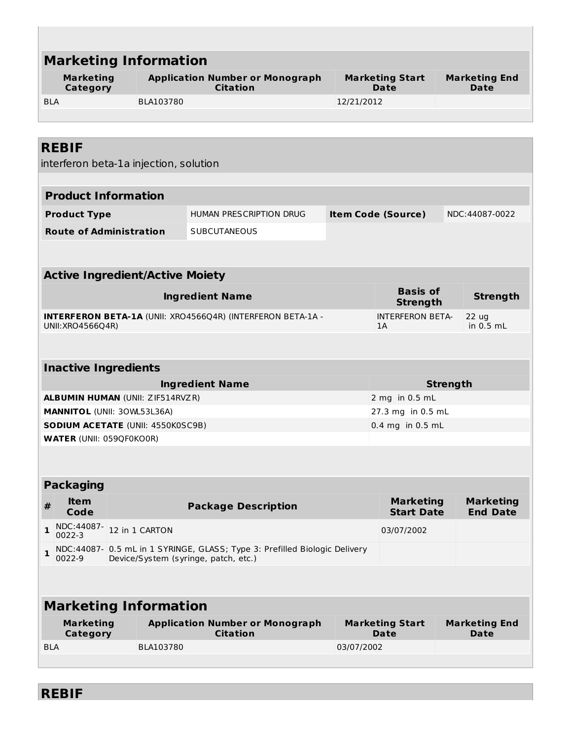|                                                                                         | <b>Marketing Information</b>                                                  |                                                                                                                    |                                                        |                                       |                 |                                     |
|-----------------------------------------------------------------------------------------|-------------------------------------------------------------------------------|--------------------------------------------------------------------------------------------------------------------|--------------------------------------------------------|---------------------------------------|-----------------|-------------------------------------|
| <b>Marketing</b><br>Category                                                            |                                                                               | <b>Application Number or Monograph</b><br><b>Citation</b>                                                          |                                                        | <b>Marketing Start</b><br><b>Date</b> |                 | <b>Marketing End</b><br><b>Date</b> |
| <b>BLA</b>                                                                              | BLA103780                                                                     |                                                                                                                    | 12/21/2012                                             |                                       |                 |                                     |
|                                                                                         |                                                                               |                                                                                                                    |                                                        |                                       |                 |                                     |
|                                                                                         |                                                                               |                                                                                                                    |                                                        |                                       |                 |                                     |
| <b>REBIF</b>                                                                            |                                                                               |                                                                                                                    |                                                        |                                       |                 |                                     |
|                                                                                         | interferon beta-1a injection, solution                                        |                                                                                                                    |                                                        |                                       |                 |                                     |
| <b>Product Information</b>                                                              |                                                                               |                                                                                                                    |                                                        |                                       |                 |                                     |
| <b>Product Type</b>                                                                     |                                                                               | HUMAN PRESCRIPTION DRUG                                                                                            | <b>Item Code (Source)</b>                              |                                       |                 | NDC:44087-0022                      |
| <b>Route of Administration</b>                                                          |                                                                               | <b>SUBCUTANEOUS</b>                                                                                                |                                                        |                                       |                 |                                     |
|                                                                                         |                                                                               |                                                                                                                    |                                                        |                                       |                 |                                     |
|                                                                                         |                                                                               |                                                                                                                    |                                                        |                                       |                 |                                     |
|                                                                                         | <b>Active Ingredient/Active Moiety</b>                                        |                                                                                                                    |                                                        |                                       |                 |                                     |
|                                                                                         |                                                                               | <b>Ingredient Name</b>                                                                                             |                                                        | <b>Basis of</b><br><b>Strength</b>    |                 | <b>Strength</b>                     |
| <b>INTERFERON BETA-1A (UNII: XRO4566Q4R) (INTERFERON BETA-1A -</b><br>UNII: XRO4566Q4R) |                                                                               |                                                                                                                    | <b>INTERFERON BETA-</b><br>22 ug<br>in $0.5$ mL<br>1 A |                                       |                 |                                     |
|                                                                                         |                                                                               |                                                                                                                    |                                                        |                                       |                 |                                     |
| <b>Inactive Ingredients</b>                                                             |                                                                               |                                                                                                                    |                                                        |                                       |                 |                                     |
|                                                                                         |                                                                               | <b>Ingredient Name</b>                                                                                             |                                                        |                                       | <b>Strength</b> |                                     |
|                                                                                         |                                                                               |                                                                                                                    | 2 mg in 0.5 mL                                         |                                       |                 |                                     |
|                                                                                         | <b>ALBUMIN HUMAN (UNII: ZIF514RVZR)</b><br><b>MANNITOL (UNII: 30WL53L36A)</b> |                                                                                                                    |                                                        |                                       |                 |                                     |
| <b>SODIUM ACETATE (UNII: 4550K0SC9B)</b>                                                |                                                                               |                                                                                                                    |                                                        | 27.3 mg in 0.5 mL                     |                 |                                     |
|                                                                                         |                                                                               |                                                                                                                    |                                                        | 0.4 mg in 0.5 mL                      |                 |                                     |
| <b>WATER (UNII: 059QF0KO0R)</b>                                                         |                                                                               |                                                                                                                    |                                                        |                                       |                 |                                     |
|                                                                                         |                                                                               |                                                                                                                    |                                                        |                                       |                 |                                     |
|                                                                                         |                                                                               |                                                                                                                    |                                                        |                                       |                 |                                     |
| <b>Packaging</b><br><b>Item</b><br>#<br>Code                                            |                                                                               | <b>Package Description</b>                                                                                         |                                                        | <b>Marketing</b><br><b>Start Date</b> |                 | <b>Marketing</b><br><b>End Date</b> |
| NDC:44087-<br>$\mathbf{1}$<br>$0022 - 3$                                                | 12 in 1 CARTON                                                                |                                                                                                                    |                                                        | 03/07/2002                            |                 |                                     |
| $\mathbf{1}$<br>0022-9                                                                  |                                                                               | NDC:44087- 0.5 mL in 1 SYRINGE, GLASS; Type 3: Prefilled Biologic Delivery<br>Device/System (syringe, patch, etc.) |                                                        |                                       |                 |                                     |
|                                                                                         |                                                                               |                                                                                                                    |                                                        |                                       |                 |                                     |
|                                                                                         |                                                                               |                                                                                                                    |                                                        |                                       |                 |                                     |
|                                                                                         | <b>Marketing Information</b>                                                  |                                                                                                                    |                                                        |                                       |                 |                                     |
| <b>Marketing</b><br>Category                                                            |                                                                               | <b>Application Number or Monograph</b><br><b>Citation</b>                                                          |                                                        | <b>Marketing Start</b><br>Date        |                 | <b>Marketing End</b><br>Date        |

**REBIF**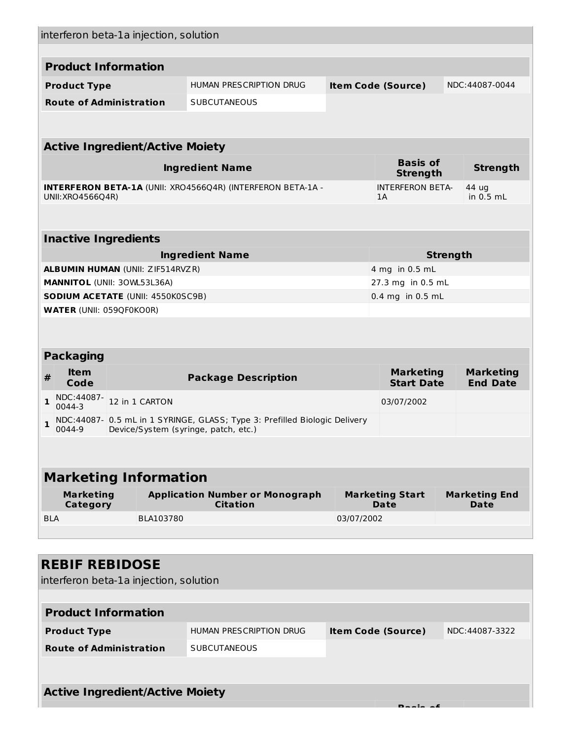| interferon beta-1a injection, solution         |                                                                                                                                                                                                                                                                                                           |                                                                            |                                                                                                                |  |  |  |
|------------------------------------------------|-----------------------------------------------------------------------------------------------------------------------------------------------------------------------------------------------------------------------------------------------------------------------------------------------------------|----------------------------------------------------------------------------|----------------------------------------------------------------------------------------------------------------|--|--|--|
|                                                |                                                                                                                                                                                                                                                                                                           |                                                                            |                                                                                                                |  |  |  |
|                                                |                                                                                                                                                                                                                                                                                                           |                                                                            | NDC:44087-0044                                                                                                 |  |  |  |
|                                                |                                                                                                                                                                                                                                                                                                           |                                                                            |                                                                                                                |  |  |  |
|                                                |                                                                                                                                                                                                                                                                                                           |                                                                            |                                                                                                                |  |  |  |
|                                                |                                                                                                                                                                                                                                                                                                           |                                                                            |                                                                                                                |  |  |  |
|                                                |                                                                                                                                                                                                                                                                                                           |                                                                            |                                                                                                                |  |  |  |
|                                                |                                                                                                                                                                                                                                                                                                           | <b>Basis of</b><br><b>Strength</b>                                         | <b>Strength</b>                                                                                                |  |  |  |
|                                                |                                                                                                                                                                                                                                                                                                           | <b>INTERFERON BETA-</b>                                                    | 44 ug                                                                                                          |  |  |  |
|                                                |                                                                                                                                                                                                                                                                                                           |                                                                            | in 0.5 mL                                                                                                      |  |  |  |
|                                                |                                                                                                                                                                                                                                                                                                           |                                                                            |                                                                                                                |  |  |  |
|                                                |                                                                                                                                                                                                                                                                                                           |                                                                            |                                                                                                                |  |  |  |
|                                                |                                                                                                                                                                                                                                                                                                           |                                                                            | <b>Strength</b>                                                                                                |  |  |  |
|                                                |                                                                                                                                                                                                                                                                                                           |                                                                            |                                                                                                                |  |  |  |
|                                                |                                                                                                                                                                                                                                                                                                           |                                                                            |                                                                                                                |  |  |  |
|                                                |                                                                                                                                                                                                                                                                                                           |                                                                            |                                                                                                                |  |  |  |
|                                                |                                                                                                                                                                                                                                                                                                           |                                                                            |                                                                                                                |  |  |  |
|                                                |                                                                                                                                                                                                                                                                                                           |                                                                            |                                                                                                                |  |  |  |
|                                                |                                                                                                                                                                                                                                                                                                           |                                                                            |                                                                                                                |  |  |  |
|                                                |                                                                                                                                                                                                                                                                                                           |                                                                            |                                                                                                                |  |  |  |
| <b>Package Description</b>                     |                                                                                                                                                                                                                                                                                                           | <b>Start Date</b>                                                          | <b>Marketing</b><br><b>End Date</b>                                                                            |  |  |  |
|                                                |                                                                                                                                                                                                                                                                                                           | 03/07/2002                                                                 |                                                                                                                |  |  |  |
|                                                |                                                                                                                                                                                                                                                                                                           |                                                                            |                                                                                                                |  |  |  |
| 0044-9<br>Device/System (syringe, patch, etc.) |                                                                                                                                                                                                                                                                                                           |                                                                            |                                                                                                                |  |  |  |
|                                                |                                                                                                                                                                                                                                                                                                           |                                                                            |                                                                                                                |  |  |  |
|                                                |                                                                                                                                                                                                                                                                                                           |                                                                            |                                                                                                                |  |  |  |
| <b>Marketing Information</b>                   |                                                                                                                                                                                                                                                                                                           |                                                                            |                                                                                                                |  |  |  |
| <b>Application Number or Monograph</b>         |                                                                                                                                                                                                                                                                                                           | <b>Marketing Start</b>                                                     | <b>Marketing End</b>                                                                                           |  |  |  |
| <b>Citation</b>                                |                                                                                                                                                                                                                                                                                                           | Date                                                                       | Date                                                                                                           |  |  |  |
|                                                | 03/07/2002                                                                                                                                                                                                                                                                                                |                                                                            |                                                                                                                |  |  |  |
|                                                |                                                                                                                                                                                                                                                                                                           |                                                                            |                                                                                                                |  |  |  |
|                                                |                                                                                                                                                                                                                                                                                                           |                                                                            |                                                                                                                |  |  |  |
|                                                |                                                                                                                                                                                                                                                                                                           |                                                                            |                                                                                                                |  |  |  |
| interferon beta-1a injection, solution         |                                                                                                                                                                                                                                                                                                           |                                                                            |                                                                                                                |  |  |  |
|                                                |                                                                                                                                                                                                                                                                                                           |                                                                            |                                                                                                                |  |  |  |
| <b>HUMAN PRESCRIPTION DRUG</b>                 |                                                                                                                                                                                                                                                                                                           | <b>Item Code (Source)</b>                                                  | NDC:44087-3322                                                                                                 |  |  |  |
| <b>SUBCUTANEOUS</b>                            |                                                                                                                                                                                                                                                                                                           |                                                                            |                                                                                                                |  |  |  |
|                                                |                                                                                                                                                                                                                                                                                                           |                                                                            |                                                                                                                |  |  |  |
|                                                | HUMAN PRESCRIPTION DRUG<br><b>SUBCUTANEOUS</b><br><b>Active Ingredient/Active Moiety</b><br><b>Ingredient Name</b><br><b>INTERFERON BETA-1A (UNII: XRO4566Q4R) (INTERFERON BETA-1A -</b><br><b>Ingredient Name</b><br><b>ALBUMIN HUMAN (UNII: ZIF514RVZR)</b><br><b>SODIUM ACETATE (UNII: 4550K0SC9B)</b> | NDC:44087- 0.5 mL in 1 SYRINGE, GLASS; Type 3: Prefilled Biologic Delivery | <b>Item Code (Source)</b><br>1A<br>4 mg in 0.5 mL<br>27.3 mg in 0.5 mL<br>0.4 mg in 0.5 mL<br><b>Marketing</b> |  |  |  |

**Basis of**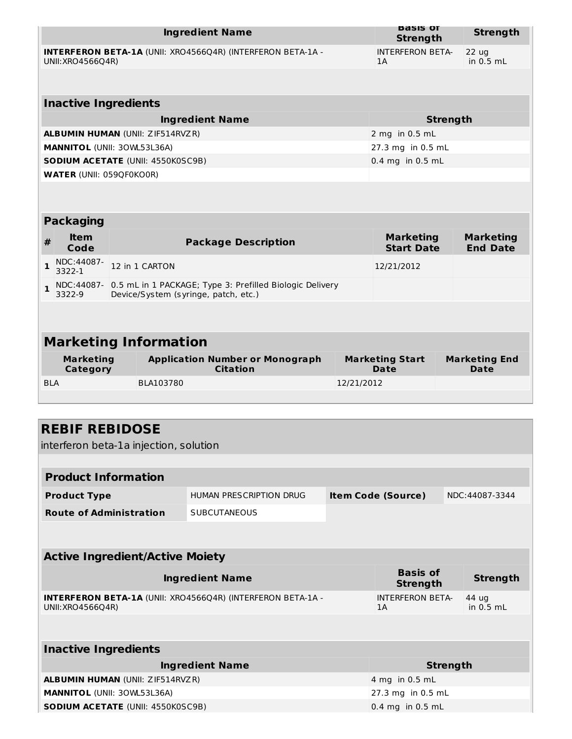|                                                                                         |                                        |  |                                          | <b>Ingredient Name</b>                                                                           |            | <b>Basis OT</b><br><b>Strength</b>    |                 | <b>Strength</b>                     |
|-----------------------------------------------------------------------------------------|----------------------------------------|--|------------------------------------------|--------------------------------------------------------------------------------------------------|------------|---------------------------------------|-----------------|-------------------------------------|
| <b>INTERFERON BETA-1A (UNII: XRO4566Q4R) (INTERFERON BETA-1A -</b><br>UNII: XRO4566Q4R) |                                        |  |                                          |                                                                                                  |            | <b>INTERFERON BETA-</b><br>1A         |                 | 22 ug<br>in $0.5$ mL                |
|                                                                                         |                                        |  |                                          |                                                                                                  |            |                                       |                 |                                     |
|                                                                                         | <b>Inactive Ingredients</b>            |  |                                          |                                                                                                  |            |                                       |                 |                                     |
| <b>Ingredient Name</b>                                                                  |                                        |  |                                          |                                                                                                  |            |                                       | <b>Strength</b> |                                     |
| <b>ALBUMIN HUMAN (UNII: ZIF514RVZR)</b>                                                 |                                        |  |                                          |                                                                                                  |            | 2 mg in 0.5 mL                        |                 |                                     |
| <b>MANNITOL (UNII: 30WL53L36A)</b>                                                      |                                        |  |                                          |                                                                                                  |            | 27.3 mg in 0.5 mL                     |                 |                                     |
|                                                                                         |                                        |  | <b>SODIUM ACETATE (UNII: 4550K0SC9B)</b> |                                                                                                  |            | 0.4 mg in 0.5 mL                      |                 |                                     |
|                                                                                         | <b>WATER (UNII: 059QF0KO0R)</b>        |  |                                          |                                                                                                  |            |                                       |                 |                                     |
|                                                                                         |                                        |  |                                          |                                                                                                  |            |                                       |                 |                                     |
|                                                                                         | <b>Packaging</b>                       |  |                                          |                                                                                                  |            |                                       |                 |                                     |
| #                                                                                       | <b>Item</b><br>Code                    |  |                                          | <b>Package Description</b>                                                                       |            | <b>Marketing</b><br><b>Start Date</b> |                 | <b>Marketing</b><br><b>End Date</b> |
| 1                                                                                       | NDC:44087-<br>3322-1                   |  | 12 in 1 CARTON                           |                                                                                                  |            | 12/21/2012                            |                 |                                     |
| $\mathbf{1}$                                                                            | NDC:44087-<br>3322-9                   |  |                                          | 0.5 mL in 1 PACKAGE; Type 3: Prefilled Biologic Delivery<br>Device/System (syringe, patch, etc.) |            |                                       |                 |                                     |
|                                                                                         |                                        |  |                                          |                                                                                                  |            |                                       |                 |                                     |
|                                                                                         |                                        |  | <b>Marketing Information</b>             |                                                                                                  |            |                                       |                 |                                     |
|                                                                                         | <b>Marketing</b><br><b>Category</b>    |  |                                          | <b>Application Number or Monograph</b><br><b>Citation</b>                                        |            | <b>Marketing Start</b><br><b>Date</b> |                 | <b>Marketing End</b><br>Date        |
| <b>BLA</b>                                                                              |                                        |  | BLA103780                                |                                                                                                  | 12/21/2012 |                                       |                 |                                     |
|                                                                                         |                                        |  |                                          |                                                                                                  |            |                                       |                 |                                     |
|                                                                                         |                                        |  |                                          |                                                                                                  |            |                                       |                 |                                     |
|                                                                                         | <b>REBIF REBIDOSE</b>                  |  |                                          |                                                                                                  |            |                                       |                 |                                     |
|                                                                                         |                                        |  | interferon beta-1a injection, solution   |                                                                                                  |            |                                       |                 |                                     |
|                                                                                         |                                        |  |                                          |                                                                                                  |            |                                       |                 |                                     |
|                                                                                         | <b>Product Information</b>             |  |                                          |                                                                                                  |            |                                       |                 |                                     |
|                                                                                         | <b>Product Type</b>                    |  |                                          | HUMAN PRESCRIPTION DRUG                                                                          |            | <b>Item Code (Source)</b>             |                 | NDC:44087-3344                      |
|                                                                                         | <b>Route of Administration</b>         |  |                                          | <b>SUBCUTANEOUS</b>                                                                              |            |                                       |                 |                                     |
|                                                                                         |                                        |  |                                          |                                                                                                  |            |                                       |                 |                                     |
|                                                                                         | <b>Active Ingredient/Active Moiety</b> |  |                                          |                                                                                                  |            |                                       |                 |                                     |
|                                                                                         |                                        |  |                                          | <b>Ingredient Name</b>                                                                           |            | <b>Basis of</b><br><b>Strength</b>    |                 | <b>Strength</b>                     |
|                                                                                         | UNII: XRO4566Q4R)                      |  |                                          | <b>INTERFERON BETA-1A (UNII: XRO4566Q4R) (INTERFERON BETA-1A -</b>                               |            | <b>INTERFERON BETA-</b><br>1A         |                 | 44 ug<br>in $0.5$ mL                |
|                                                                                         |                                        |  |                                          |                                                                                                  |            |                                       |                 |                                     |
|                                                                                         | <b>Inactive Ingredients</b>            |  |                                          |                                                                                                  |            |                                       |                 |                                     |

| <b>Ingredient Name</b>                   | Strength                   |
|------------------------------------------|----------------------------|
| <b>ALBUMIN HUMAN (UNII: ZIF514RVZR)</b>  | $4 \text{ mg}$ in 0.5 mL   |
| <b>MANNITOL (UNII: 30WL53L36A)</b>       | $\sqrt{27.3}$ mg in 0.5 mL |
| <b>SODIUM ACETATE (UNII: 4550K0SC9B)</b> | $0.4$ mg in 0.5 mL         |